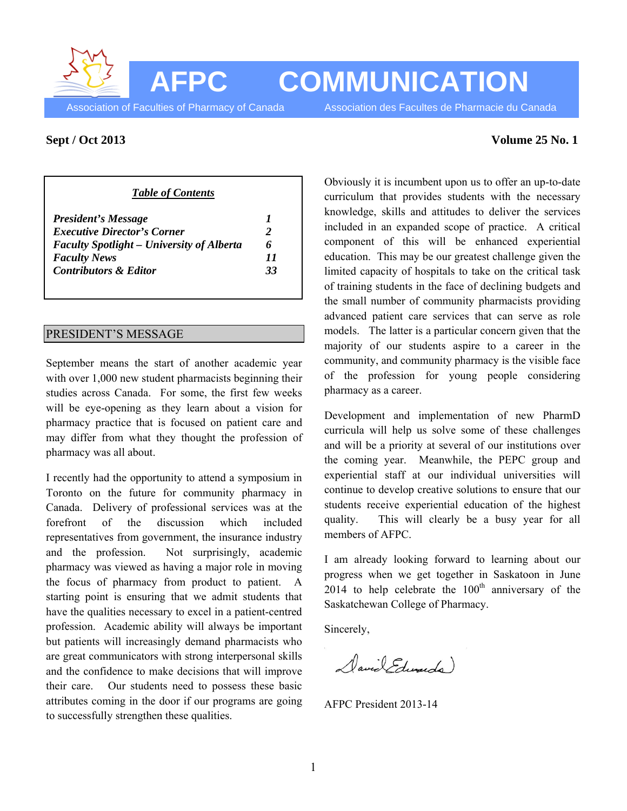**AFPC COMMUNICATION**

Association of Faculties of Pharmacy of Canada Association des Facultes de Pharmacie du Canada

## *Table of Contents*

| 6  |
|----|
| 11 |
| 33 |
|    |

## PRESIDENT'S MESSAGE

September means the start of another academic year with over 1,000 new student pharmacists beginning their studies across Canada. For some, the first few weeks will be eye-opening as they learn about a vision for pharmacy practice that is focused on patient care and may differ from what they thought the profession of pharmacy was all about.

I recently had the opportunity to attend a symposium in Toronto on the future for community pharmacy in Canada. Delivery of professional services was at the forefront of the discussion which included representatives from government, the insurance industry and the profession. Not surprisingly, academic pharmacy was viewed as having a major role in moving the focus of pharmacy from product to patient. A starting point is ensuring that we admit students that have the qualities necessary to excel in a patient-centred profession. Academic ability will always be important but patients will increasingly demand pharmacists who are great communicators with strong interpersonal skills and the confidence to make decisions that will improve their care. Our students need to possess these basic attributes coming in the door if our programs are going to successfully strengthen these qualities.

#### **Sept / Oct 2013** Volume 25 No. 1

Obviously it is incumbent upon us to offer an up-to-date curriculum that provides students with the necessary knowledge, skills and attitudes to deliver the services included in an expanded scope of practice. A critical component of this will be enhanced experiential education. This may be our greatest challenge given the limited capacity of hospitals to take on the critical task of training students in the face of declining budgets and the small number of community pharmacists providing advanced patient care services that can serve as role models. The latter is a particular concern given that the majority of our students aspire to a career in the community, and community pharmacy is the visible face of the profession for young people considering pharmacy as a career.

Development and implementation of new PharmD curricula will help us solve some of these challenges and will be a priority at several of our institutions over the coming year. Meanwhile, the PEPC group and experiential staff at our individual universities will continue to develop creative solutions to ensure that our students receive experiential education of the highest quality. This will clearly be a busy year for all members of AFPC.

I am already looking forward to learning about our progress when we get together in Saskatoon in June 2014 to help celebrate the  $100<sup>th</sup>$  anniversary of the Saskatchewan College of Pharmacy.

Sincerely,

David Edwards)

AFPC President 2013-14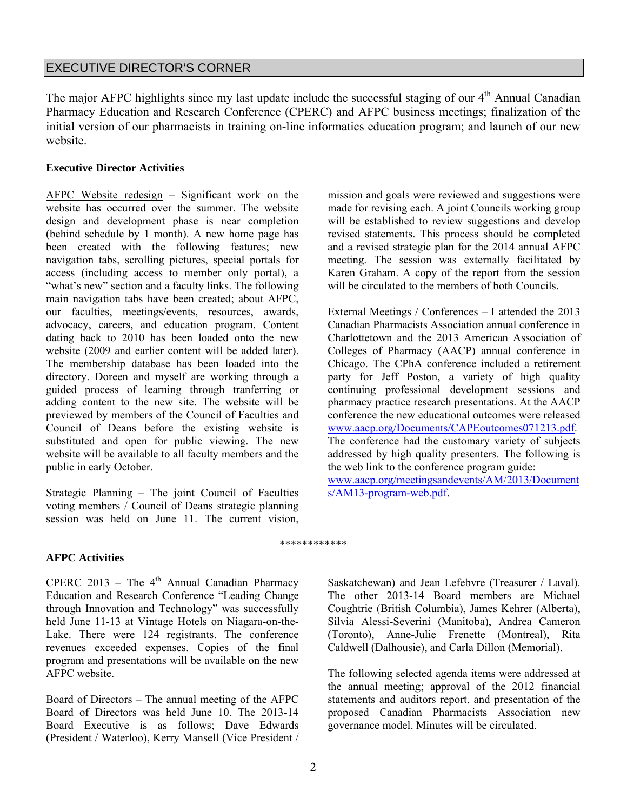# EXECUTIVE DIRECTOR'S CORNER

The major AFPC highlights since my last update include the successful staging of our 4<sup>th</sup> Annual Canadian Pharmacy Education and Research Conference (CPERC) and AFPC business meetings; finalization of the initial version of our pharmacists in training on-line informatics education program; and launch of our new website.

## **Executive Director Activities**

AFPC Website redesign – Significant work on the website has occurred over the summer. The website design and development phase is near completion (behind schedule by 1 month). A new home page has been created with the following features; new navigation tabs, scrolling pictures, special portals for access (including access to member only portal), a "what's new" section and a faculty links. The following main navigation tabs have been created; about AFPC, our faculties, meetings/events, resources, awards, advocacy, careers, and education program. Content dating back to 2010 has been loaded onto the new website (2009 and earlier content will be added later). The membership database has been loaded into the directory. Doreen and myself are working through a guided process of learning through tranferring or adding content to the new site. The website will be previewed by members of the Council of Faculties and Council of Deans before the existing website is substituted and open for public viewing. The new website will be available to all faculty members and the public in early October.

Strategic Planning – The joint Council of Faculties voting members / Council of Deans strategic planning session was held on June 11. The current vision,

mission and goals were reviewed and suggestions were made for revising each. A joint Councils working group will be established to review suggestions and develop revised statements. This process should be completed and a revised strategic plan for the 2014 annual AFPC meeting. The session was externally facilitated by Karen Graham. A copy of the report from the session will be circulated to the members of both Councils.

External Meetings / Conferences – I attended the 2013 Canadian Pharmacists Association annual conference in Charlottetown and the 2013 American Association of Colleges of Pharmacy (AACP) annual conference in Chicago. The CPhA conference included a retirement party for Jeff Poston, a variety of high quality continuing professional development sessions and pharmacy practice research presentations. At the AACP conference the new educational outcomes were released www.aacp.org/Documents/CAPEoutcomes071213.pdf. The conference had the customary variety of subjects addressed by high quality presenters. The following is the web link to the conference program guide: www.aacp.org/meetingsandevents/AM/2013/Document s/AM13-program-web.pdf.

## **AFPC Activities**

CPERC 2013 – The  $4<sup>th</sup>$  Annual Canadian Pharmacy Education and Research Conference "Leading Change through Innovation and Technology" was successfully held June 11-13 at Vintage Hotels on Niagara-on-the-Lake. There were 124 registrants. The conference revenues exceeded expenses. Copies of the final program and presentations will be available on the new AFPC website.

Board of Directors – The annual meeting of the AFPC Board of Directors was held June 10. The 2013-14 Board Executive is as follows; Dave Edwards (President / Waterloo), Kerry Mansell (Vice President /

Saskatchewan) and Jean Lefebvre (Treasurer / Laval). The other 2013-14 Board members are Michael Coughtrie (British Columbia), James Kehrer (Alberta), Silvia Alessi-Severini (Manitoba), Andrea Cameron (Toronto), Anne-Julie Frenette (Montreal), Rita Caldwell (Dalhousie), and Carla Dillon (Memorial).

The following selected agenda items were addressed at the annual meeting; approval of the 2012 financial statements and auditors report, and presentation of the proposed Canadian Pharmacists Association new governance model. Minutes will be circulated.

\*\*\*\*\*\*\*\*\*\*\*\*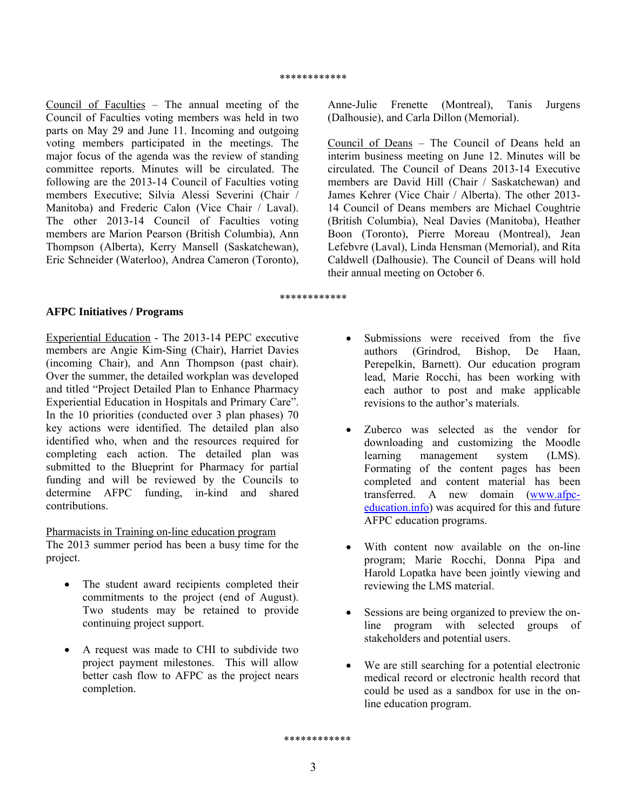Council of Faculties – The annual meeting of the Council of Faculties voting members was held in two parts on May 29 and June 11. Incoming and outgoing voting members participated in the meetings. The major focus of the agenda was the review of standing committee reports. Minutes will be circulated. The following are the 2013-14 Council of Faculties voting members Executive; Silvia Alessi Severini (Chair / Manitoba) and Frederic Calon (Vice Chair / Laval). The other 2013-14 Council of Faculties voting members are Marion Pearson (British Columbia), Ann Thompson (Alberta), Kerry Mansell (Saskatchewan), Eric Schneider (Waterloo), Andrea Cameron (Toronto),

Anne-Julie Frenette (Montreal), Tanis Jurgens (Dalhousie), and Carla Dillon (Memorial).

Council of Deans – The Council of Deans held an interim business meeting on June 12. Minutes will be circulated. The Council of Deans 2013-14 Executive members are David Hill (Chair / Saskatchewan) and James Kehrer (Vice Chair / Alberta). The other 2013- 14 Council of Deans members are Michael Coughtrie (British Columbia), Neal Davies (Manitoba), Heather Boon (Toronto), Pierre Moreau (Montreal), Jean Lefebvre (Laval), Linda Hensman (Memorial), and Rita Caldwell (Dalhousie). The Council of Deans will hold their annual meeting on October 6.

#### \*\*\*\*\*\*\*\*\*\*\*\*

#### **AFPC Initiatives / Programs**

Experiential Education - The 2013-14 PEPC executive members are Angie Kim-Sing (Chair), Harriet Davies (incoming Chair), and Ann Thompson (past chair). Over the summer, the detailed workplan was developed and titled "Project Detailed Plan to Enhance Pharmacy Experiential Education in Hospitals and Primary Care". In the 10 priorities (conducted over 3 plan phases) 70 key actions were identified. The detailed plan also identified who, when and the resources required for completing each action. The detailed plan was submitted to the Blueprint for Pharmacy for partial funding and will be reviewed by the Councils to determine AFPC funding, in-kind and shared contributions.

#### Pharmacists in Training on-line education program

The 2013 summer period has been a busy time for the project.

- The student award recipients completed their commitments to the project (end of August). Two students may be retained to provide continuing project support.
- A request was made to CHI to subdivide two project payment milestones. This will allow better cash flow to AFPC as the project nears completion.
- Submissions were received from the five authors (Grindrod, Bishop, De Haan, Perepelkin, Barnett). Our education program lead, Marie Rocchi, has been working with each author to post and make applicable revisions to the author's materials.
- Zuberco was selected as the vendor for downloading and customizing the Moodle learning management system (LMS). Formating of the content pages has been completed and content material has been transferred. A new domain (www.afpceducation.info) was acquired for this and future AFPC education programs.
- With content now available on the on-line program; Marie Rocchi, Donna Pipa and Harold Lopatka have been jointly viewing and reviewing the LMS material.
- Sessions are being organized to preview the online program with selected groups of stakeholders and potential users.
- We are still searching for a potential electronic medical record or electronic health record that could be used as a sandbox for use in the online education program.

\*\*\*\*\*\*\*\*\*\*\*\*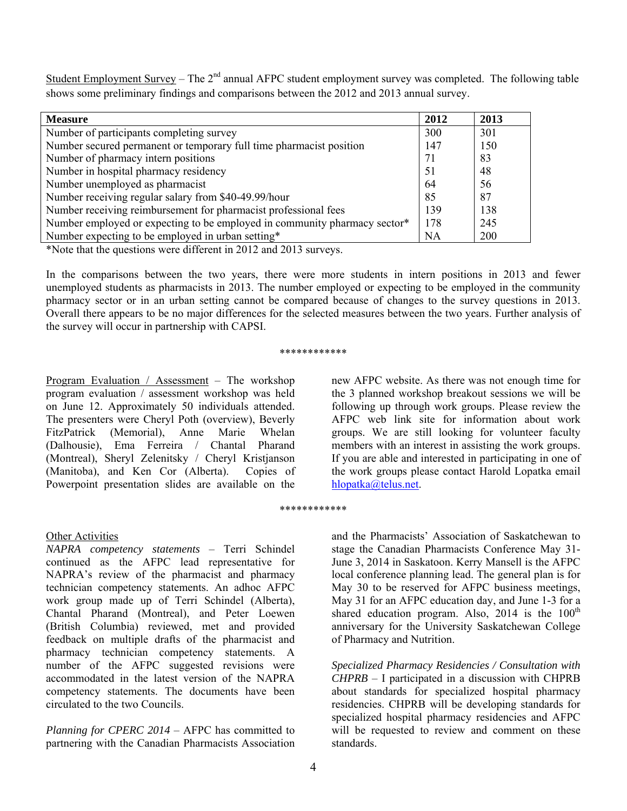Student Employment Survey – The  $2<sup>nd</sup>$  annual AFPC student employment survey was completed. The following table shows some preliminary findings and comparisons between the 2012 and 2013 annual survey.

| <b>Measure</b>                                                            | 2012      | 2013 |
|---------------------------------------------------------------------------|-----------|------|
| Number of participants completing survey                                  | 300       | 301  |
| Number secured permanent or temporary full time pharmacist position       | 147       | 150  |
| Number of pharmacy intern positions                                       | 71        | 83   |
| Number in hospital pharmacy residency                                     | 51        | 48   |
| Number unemployed as pharmacist                                           | 64        | 56   |
| Number receiving regular salary from \$40-49.99/hour                      | 85        | 87   |
| Number receiving reimbursement for pharmacist professional fees           | 139       | 138  |
| Number employed or expecting to be employed in community pharmacy sector* | 178       | 245  |
| Number expecting to be employed in urban setting*                         | <b>NA</b> | 200  |

\*Note that the questions were different in 2012 and 2013 surveys.

In the comparisons between the two years, there were more students in intern positions in 2013 and fewer unemployed students as pharmacists in 2013. The number employed or expecting to be employed in the community pharmacy sector or in an urban setting cannot be compared because of changes to the survey questions in 2013. Overall there appears to be no major differences for the selected measures between the two years. Further analysis of the survey will occur in partnership with CAPSI.

#### \*\*\*\*\*\*\*\*\*\*\*\*

Program Evaluation / Assessment – The workshop program evaluation / assessment workshop was held on June 12. Approximately 50 individuals attended. The presenters were Cheryl Poth (overview), Beverly FitzPatrick (Memorial), Anne Marie Whelan (Dalhousie), Ema Ferreira / Chantal Pharand (Montreal), Sheryl Zelenitsky / Cheryl Kristjanson (Manitoba), and Ken Cor (Alberta). Copies of Powerpoint presentation slides are available on the

## Other Activities

*NAPRA competency statements* – Terri Schindel continued as the AFPC lead representative for NAPRA's review of the pharmacist and pharmacy technician competency statements. An adhoc AFPC work group made up of Terri Schindel (Alberta), Chantal Pharand (Montreal), and Peter Loewen (British Columbia) reviewed, met and provided feedback on multiple drafts of the pharmacist and pharmacy technician competency statements. A number of the AFPC suggested revisions were accommodated in the latest version of the NAPRA competency statements. The documents have been circulated to the two Councils.

*Planning for CPERC 2014* – AFPC has committed to partnering with the Canadian Pharmacists Association new AFPC website. As there was not enough time for the 3 planned workshop breakout sessions we will be following up through work groups. Please review the AFPC web link site for information about work groups. We are still looking for volunteer faculty members with an interest in assisting the work groups. If you are able and interested in participating in one of the work groups please contact Harold Lopatka email hlopatka@telus.net.

#### \*\*\*\*\*\*\*\*\*\*\*\*

and the Pharmacists' Association of Saskatchewan to stage the Canadian Pharmacists Conference May 31- June 3, 2014 in Saskatoon. Kerry Mansell is the AFPC local conference planning lead. The general plan is for May 30 to be reserved for AFPC business meetings, May 31 for an AFPC education day, and June 1-3 for a shared education program. Also,  $2014$  is the  $100<sup>th</sup>$ anniversary for the University Saskatchewan College of Pharmacy and Nutrition.

*Specialized Pharmacy Residencies / Consultation with CHPRB* – I participated in a discussion with CHPRB about standards for specialized hospital pharmacy residencies. CHPRB will be developing standards for specialized hospital pharmacy residencies and AFPC will be requested to review and comment on these standards.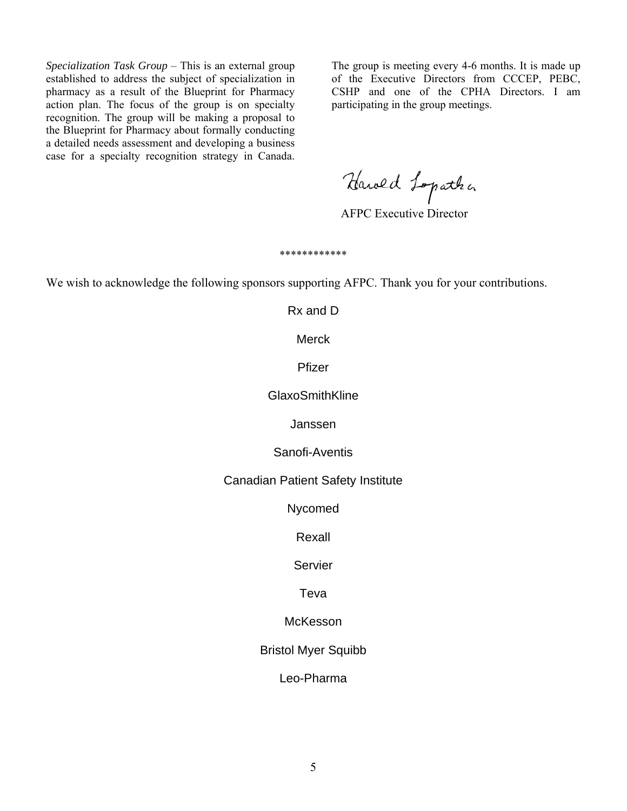*Specialization Task Group* – This is an external group established to address the subject of specialization in pharmacy as a result of the Blueprint for Pharmacy action plan. The focus of the group is on specialty recognition. The group will be making a proposal to the Blueprint for Pharmacy about formally conducting a detailed needs assessment and developing a business case for a specialty recognition strategy in Canada.

The group is meeting every 4-6 months. It is made up of the Executive Directors from CCCEP, PEBC, CSHP and one of the CPHA Directors. I am participating in the group meetings.

Harold Lopatha

\*\*\*\*\*\*\*\*\*\*\*\*

We wish to acknowledge the following sponsors supporting AFPC. Thank you for your contributions.

Rx and D

Merck

Pfizer

GlaxoSmithKline

Janssen

Sanofi-Aventis

Canadian Patient Safety Institute

Nycomed

Rexall

Servier

Teva

**McKesson** 

Bristol Myer Squibb

Leo-Pharma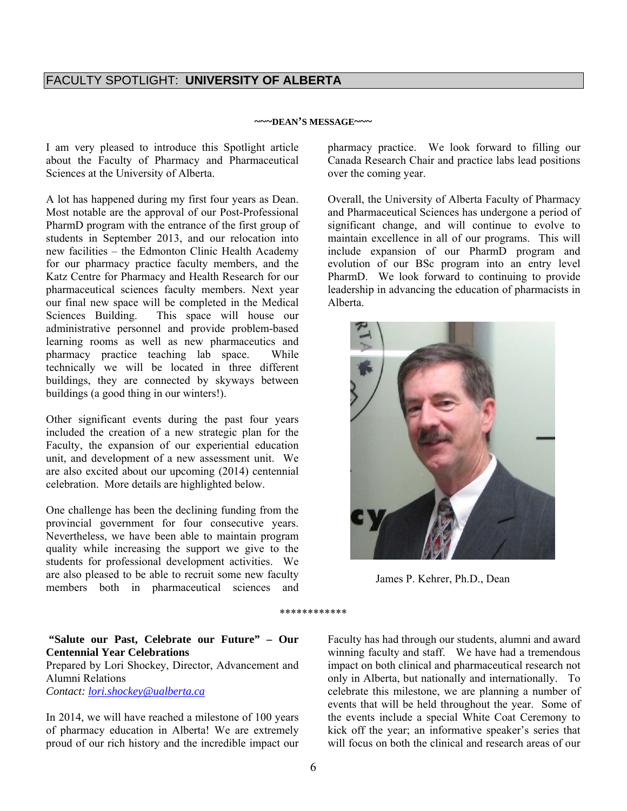#### **~~~DEAN'S MESSAGE~~~**

I am very pleased to introduce this Spotlight article about the Faculty of Pharmacy and Pharmaceutical Sciences at the University of Alberta.

A lot has happened during my first four years as Dean. Most notable are the approval of our Post-Professional PharmD program with the entrance of the first group of students in September 2013, and our relocation into new facilities – the Edmonton Clinic Health Academy for our pharmacy practice faculty members, and the Katz Centre for Pharmacy and Health Research for our pharmaceutical sciences faculty members. Next year our final new space will be completed in the Medical Sciences Building. This space will house our administrative personnel and provide problem-based learning rooms as well as new pharmaceutics and pharmacy practice teaching lab space. While technically we will be located in three different buildings, they are connected by skyways between buildings (a good thing in our winters!).

Other significant events during the past four years included the creation of a new strategic plan for the Faculty, the expansion of our experiential education unit, and development of a new assessment unit. We are also excited about our upcoming (2014) centennial celebration. More details are highlighted below.

One challenge has been the declining funding from the provincial government for four consecutive years. Nevertheless, we have been able to maintain program quality while increasing the support we give to the students for professional development activities. We are also pleased to be able to recruit some new faculty members both in pharmaceutical sciences and

pharmacy practice. We look forward to filling our Canada Research Chair and practice labs lead positions over the coming year.

Overall, the University of Alberta Faculty of Pharmacy and Pharmaceutical Sciences has undergone a period of significant change, and will continue to evolve to maintain excellence in all of our programs. This will include expansion of our PharmD program and evolution of our BSc program into an entry level PharmD. We look forward to continuing to provide leadership in advancing the education of pharmacists in Alberta.



James P. Kehrer, Ph.D., Dean

\*\*\*\*\*\*\*\*\*\*\*\*

**"Salute our Past, Celebrate our Future" – Our Centennial Year Celebrations** 

Prepared by Lori Shockey, Director, Advancement and Alumni Relations *Contact: lori.shockey@ualberta.ca*

In 2014, we will have reached a milestone of 100 years of pharmacy education in Alberta! We are extremely proud of our rich history and the incredible impact our

Faculty has had through our students, alumni and award winning faculty and staff. We have had a tremendous impact on both clinical and pharmaceutical research not only in Alberta, but nationally and internationally. To celebrate this milestone, we are planning a number of events that will be held throughout the year. Some of the events include a special White Coat Ceremony to kick off the year; an informative speaker's series that will focus on both the clinical and research areas of our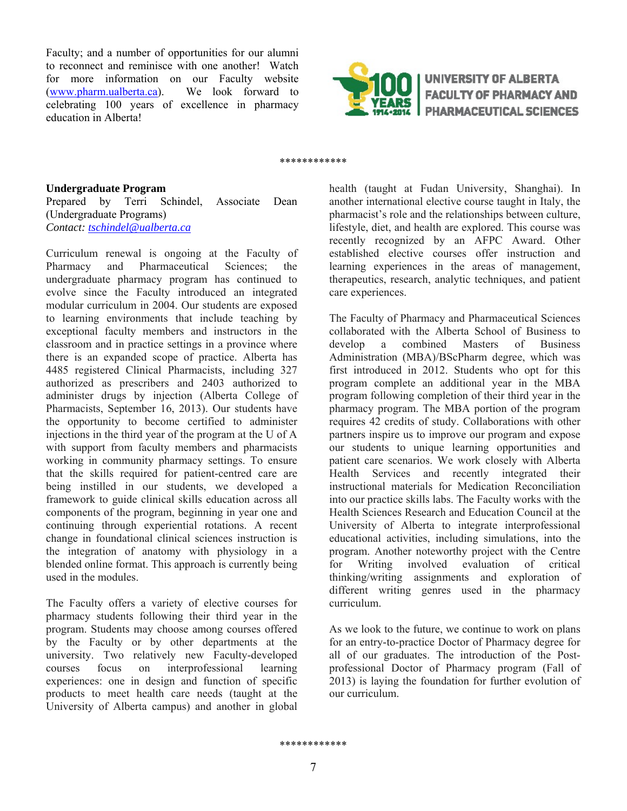Faculty; and a number of opportunities for our alumni to reconnect and reminisce with one another! Watch for more information on our Faculty website<br>(www.pharm.ualberta.ca). We look forward to  $(www.pharm.ualberta.ca)$ . celebrating 100 years of excellence in pharmacy education in Alberta!



UNIVERSITY OF ALBERTA **FACULTY OF PHARMACY AND PHARMACEUTICAL SCIENCES** 

#### \*\*\*\*\*\*\*\*\*\*\*\*

#### **Undergraduate Program**

Prepared by Terri Schindel, Associate Dean (Undergraduate Programs) *Contact: tschindel@ualberta.ca*

Curriculum renewal is ongoing at the Faculty of Pharmacy and Pharmaceutical Sciences; the undergraduate pharmacy program has continued to evolve since the Faculty introduced an integrated modular curriculum in 2004. Our students are exposed to learning environments that include teaching by exceptional faculty members and instructors in the classroom and in practice settings in a province where there is an expanded scope of practice. Alberta has 4485 registered Clinical Pharmacists, including 327 authorized as prescribers and 2403 authorized to administer drugs by injection (Alberta College of Pharmacists, September 16, 2013). Our students have the opportunity to become certified to administer injections in the third year of the program at the U of A with support from faculty members and pharmacists working in community pharmacy settings. To ensure that the skills required for patient-centred care are being instilled in our students, we developed a framework to guide clinical skills education across all components of the program, beginning in year one and continuing through experiential rotations. A recent change in foundational clinical sciences instruction is the integration of anatomy with physiology in a blended online format. This approach is currently being used in the modules.

The Faculty offers a variety of elective courses for pharmacy students following their third year in the program. Students may choose among courses offered by the Faculty or by other departments at the university. Two relatively new Faculty-developed courses focus on interprofessional learning experiences: one in design and function of specific products to meet health care needs (taught at the University of Alberta campus) and another in global

health (taught at Fudan University, Shanghai). In another international elective course taught in Italy, the pharmacist's role and the relationships between culture, lifestyle, diet, and health are explored. This course was recently recognized by an AFPC Award. Other established elective courses offer instruction and learning experiences in the areas of management, therapeutics, research, analytic techniques, and patient care experiences.

The Faculty of Pharmacy and Pharmaceutical Sciences collaborated with the Alberta School of Business to develop a combined Masters of Business Administration (MBA)/BScPharm degree, which was first introduced in 2012. Students who opt for this program complete an additional year in the MBA program following completion of their third year in the pharmacy program. The MBA portion of the program requires 42 credits of study. Collaborations with other partners inspire us to improve our program and expose our students to unique learning opportunities and patient care scenarios. We work closely with Alberta Health Services and recently integrated their instructional materials for Medication Reconciliation into our practice skills labs. The Faculty works with the Health Sciences Research and Education Council at the University of Alberta to integrate interprofessional educational activities, including simulations, into the program. Another noteworthy project with the Centre for Writing involved evaluation of critical thinking/writing assignments and exploration of different writing genres used in the pharmacy curriculum.

As we look to the future, we continue to work on plans for an entry-to-practice Doctor of Pharmacy degree for all of our graduates. The introduction of the Postprofessional Doctor of Pharmacy program (Fall of 2013) is laying the foundation for further evolution of our curriculum.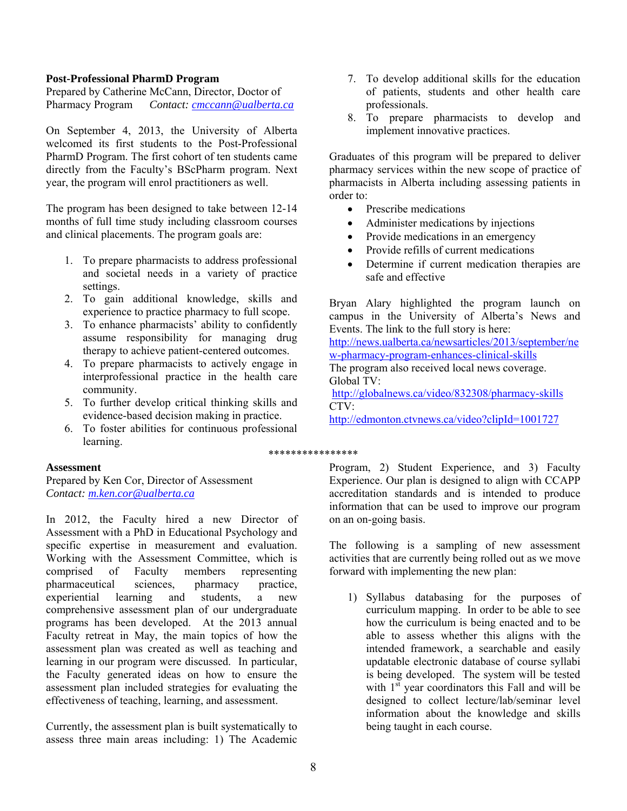#### **Post-Professional PharmD Program**

Prepared by Catherine McCann, Director, Doctor of Pharmacy Program *Contact: cmccann@ualberta.ca*

On September 4, 2013, the University of Alberta welcomed its first students to the Post-Professional PharmD Program. The first cohort of ten students came directly from the Faculty's BScPharm program. Next year, the program will enrol practitioners as well.

The program has been designed to take between 12-14 months of full time study including classroom courses and clinical placements. The program goals are:

- 1. To prepare pharmacists to address professional and societal needs in a variety of practice settings.
- 2. To gain additional knowledge, skills and experience to practice pharmacy to full scope.
- 3. To enhance pharmacists' ability to confidently assume responsibility for managing drug therapy to achieve patient-centered outcomes.
- 4. To prepare pharmacists to actively engage in interprofessional practice in the health care community.
- 5. To further develop critical thinking skills and evidence-based decision making in practice.
- 6. To foster abilities for continuous professional learning.

## **Assessment**

Prepared by Ken Cor, Director of Assessment *Contact: m.ken.cor@ualberta.ca*

In 2012, the Faculty hired a new Director of Assessment with a PhD in Educational Psychology and specific expertise in measurement and evaluation. Working with the Assessment Committee, which is comprised of Faculty members representing pharmaceutical sciences, pharmacy practice, experiential learning and students, a new comprehensive assessment plan of our undergraduate programs has been developed. At the 2013 annual Faculty retreat in May, the main topics of how the assessment plan was created as well as teaching and learning in our program were discussed. In particular, the Faculty generated ideas on how to ensure the assessment plan included strategies for evaluating the effectiveness of teaching, learning, and assessment.

Currently, the assessment plan is built systematically to assess three main areas including: 1) The Academic

- 7. To develop additional skills for the education of patients, students and other health care professionals.
- 8. To prepare pharmacists to develop and implement innovative practices.

Graduates of this program will be prepared to deliver pharmacy services within the new scope of practice of pharmacists in Alberta including assessing patients in order to:

- Prescribe medications
- Administer medications by injections
- Provide medications in an emergency
- Provide refills of current medications
- Determine if current medication therapies are safe and effective

Bryan Alary highlighted the program launch on campus in the University of Alberta's News and Events. The link to the full story is here: http://news.ualberta.ca/newsarticles/2013/september/ne w-pharmacy-program-enhances-clinical-skills The program also received local news coverage. Global TV: http://globalnews.ca/video/832308/pharmacy-skills CTV:

http://edmonton.ctvnews.ca/video?clipId=1001727

#### \*\*\*\*\*\*\*\*\*\*\*\*\*\*\*\*

Program, 2) Student Experience, and 3) Faculty Experience. Our plan is designed to align with CCAPP accreditation standards and is intended to produce information that can be used to improve our program on an on-going basis.

The following is a sampling of new assessment activities that are currently being rolled out as we move forward with implementing the new plan:

1) Syllabus databasing for the purposes of curriculum mapping. In order to be able to see how the curriculum is being enacted and to be able to assess whether this aligns with the intended framework, a searchable and easily updatable electronic database of course syllabi is being developed. The system will be tested with  $1<sup>st</sup>$  year coordinators this Fall and will be designed to collect lecture/lab/seminar level information about the knowledge and skills being taught in each course.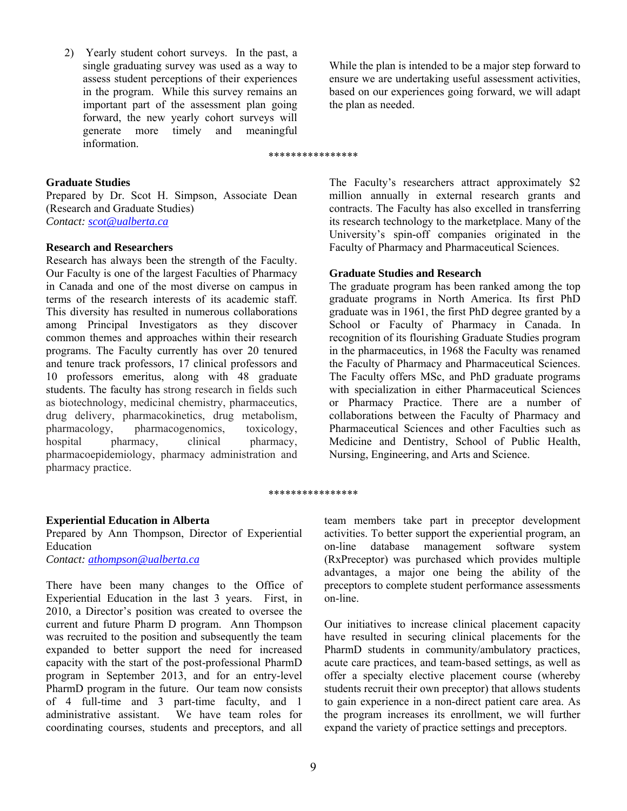2) Yearly student cohort surveys. In the past, a single graduating survey was used as a way to assess student perceptions of their experiences in the program. While this survey remains an important part of the assessment plan going forward, the new yearly cohort surveys will generate more timely and meaningful information.

While the plan is intended to be a major step forward to ensure we are undertaking useful assessment activities, based on our experiences going forward, we will adapt the plan as needed.

#### \*\*\*\*\*\*\*\*\*\*\*\*\*\*\*\*

#### **Graduate Studies**

Prepared by Dr. Scot H. Simpson, Associate Dean (Research and Graduate Studies) *Contact: scot@ualberta.ca* 

#### **Research and Researchers**

Research has always been the strength of the Faculty. Our Faculty is one of the largest Faculties of Pharmacy in Canada and one of the most diverse on campus in terms of the research interests of its academic staff. This diversity has resulted in numerous collaborations among Principal Investigators as they discover common themes and approaches within their research programs. The Faculty currently has over 20 tenured and tenure track professors, 17 clinical professors and 10 professors emeritus, along with 48 graduate students. The faculty has strong research in fields such as biotechnology, medicinal chemistry, pharmaceutics, drug delivery, pharmacokinetics, drug metabolism, pharmacology, pharmacogenomics, toxicology, hospital pharmacy, clinical pharmacy, pharmacoepidemiology, pharmacy administration and pharmacy practice.

The Faculty's researchers attract approximately \$2 million annually in external research grants and contracts. The Faculty has also excelled in transferring its research technology to the marketplace. Many of the University's spin-off companies originated in the Faculty of Pharmacy and Pharmaceutical Sciences.

#### **Graduate Studies and Research**

The graduate program has been ranked among the top graduate programs in North America. Its first PhD graduate was in 1961, the first PhD degree granted by a School or Faculty of Pharmacy in Canada. In recognition of its flourishing Graduate Studies program in the pharmaceutics, in 1968 the Faculty was renamed the Faculty of Pharmacy and Pharmaceutical Sciences. The Faculty offers MSc, and PhD graduate programs with specialization in either Pharmaceutical Sciences or Pharmacy Practice. There are a number of collaborations between the Faculty of Pharmacy and Pharmaceutical Sciences and other Faculties such as Medicine and Dentistry, School of Public Health, Nursing, Engineering, and Arts and Science.

#### \*\*\*\*\*\*\*\*\*\*\*\*\*\*\*\*

#### **Experiential Education in Alberta**

Prepared by Ann Thompson, Director of Experiential Education *Contact: athompson@ualberta.ca*

There have been many changes to the Office of Experiential Education in the last 3 years. First, in 2010, a Director's position was created to oversee the current and future Pharm D program. Ann Thompson was recruited to the position and subsequently the team expanded to better support the need for increased capacity with the start of the post-professional PharmD program in September 2013, and for an entry-level PharmD program in the future. Our team now consists of 4 full-time and 3 part-time faculty, and 1 administrative assistant. We have team roles for coordinating courses, students and preceptors, and all

team members take part in preceptor development activities. To better support the experiential program, an on-line database management software system (RxPreceptor) was purchased which provides multiple advantages, a major one being the ability of the preceptors to complete student performance assessments on-line.

Our initiatives to increase clinical placement capacity have resulted in securing clinical placements for the PharmD students in community/ambulatory practices, acute care practices, and team-based settings, as well as offer a specialty elective placement course (whereby students recruit their own preceptor) that allows students to gain experience in a non-direct patient care area. As the program increases its enrollment, we will further expand the variety of practice settings and preceptors.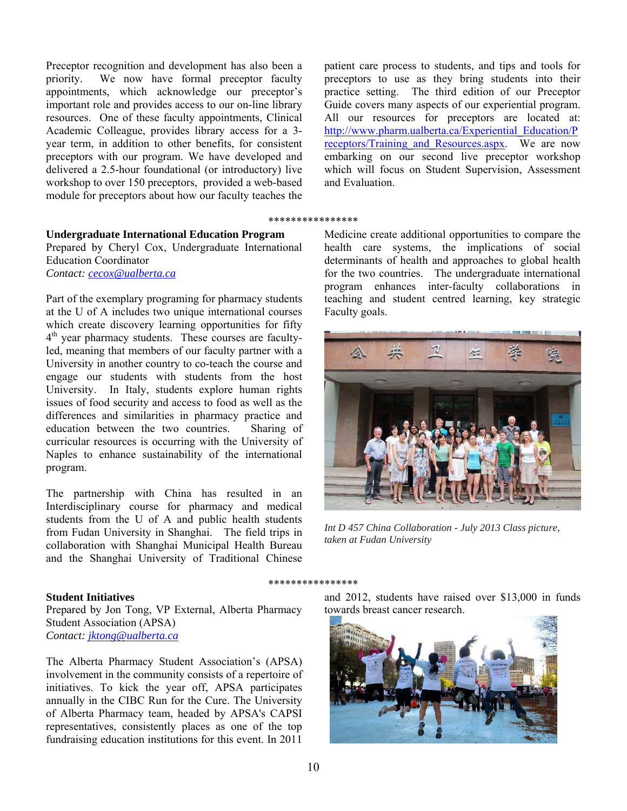Preceptor recognition and development has also been a priority. We now have formal preceptor faculty appointments, which acknowledge our preceptor's important role and provides access to our on-line library resources. One of these faculty appointments, Clinical Academic Colleague, provides library access for a 3 year term, in addition to other benefits, for consistent preceptors with our program. We have developed and delivered a 2.5-hour foundational (or introductory) live workshop to over 150 preceptors, provided a web-based module for preceptors about how our faculty teaches the

#### **Undergraduate International Education Program**  Prepared by Cheryl Cox, Undergraduate International Education Coordinator *Contact: cecox@ualberta.ca*

Part of the exemplary programing for pharmacy students at the U of A includes two unique international courses which create discovery learning opportunities for fifty  $4<sup>th</sup>$  year pharmacy students. These courses are facultyled, meaning that members of our faculty partner with a University in another country to co-teach the course and engage our students with students from the host University. In Italy, students explore human rights issues of food security and access to food as well as the differences and similarities in pharmacy practice and education between the two countries. Sharing of curricular resources is occurring with the University of Naples to enhance sustainability of the international program.

The partnership with China has resulted in an Interdisciplinary course for pharmacy and medical students from the U of A and public health students from Fudan University in Shanghai. The field trips in collaboration with Shanghai Municipal Health Bureau and the Shanghai University of Traditional Chinese

## **Student Initiatives**

Prepared by Jon Tong, VP External, Alberta Pharmacy Student Association (APSA) *Contact: jktong@ualberta.ca*

The Alberta Pharmacy Student Association's (APSA) involvement in the community consists of a repertoire of initiatives. To kick the year off, APSA participates annually in the CIBC Run for the Cure. The University of Alberta Pharmacy team, headed by APSA's CAPSI representatives, consistently places as one of the top fundraising education institutions for this event. In 2011

patient care process to students, and tips and tools for preceptors to use as they bring students into their practice setting. The third edition of our Preceptor Guide covers many aspects of our experiential program. All our resources for preceptors are located at: http://www.pharm.ualberta.ca/Experiential\_Education/P receptors/Training and Resources.aspx. We are now embarking on our second live preceptor workshop which will focus on Student Supervision, Assessment and Evaluation.

#### \*\*\*\*\*\*\*\*\*\*\*\*\*\*\*\*

Medicine create additional opportunities to compare the health care systems, the implications of social determinants of health and approaches to global health for the two countries. The undergraduate international program enhances inter-faculty collaborations in teaching and student centred learning, key strategic Faculty goals.



*Int D 457 China Collaboration - July 2013 Class picture, taken at Fudan University*

#### \*\*\*\*\*\*\*\*\*\*\*\*\*\*\*\*

and 2012, students have raised over \$13,000 in funds towards breast cancer research.

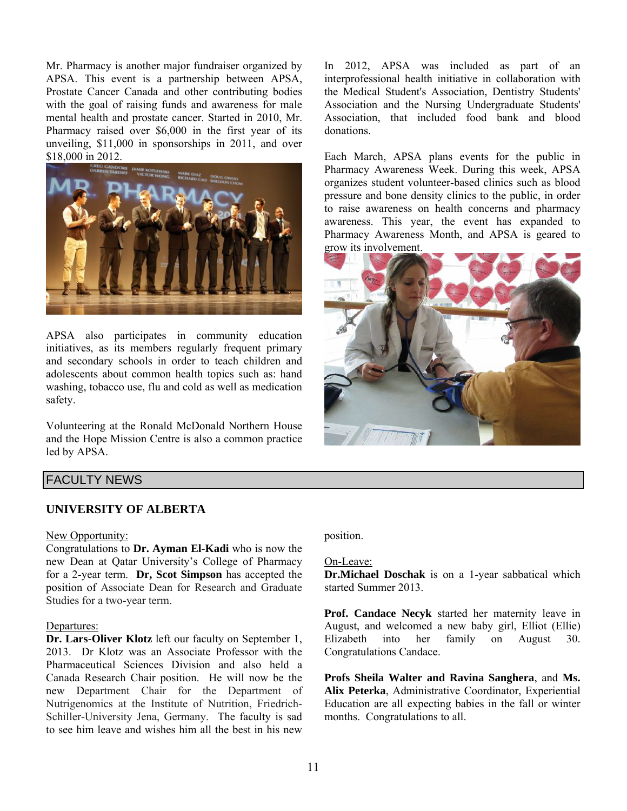Mr. Pharmacy is another major fundraiser organized by APSA. This event is a partnership between APSA, Prostate Cancer Canada and other contributing bodies with the goal of raising funds and awareness for male mental health and prostate cancer. Started in 2010, Mr. Pharmacy raised over \$6,000 in the first year of its unveiling, \$11,000 in sponsorships in 2011, and over \$18,000 in 2012.



APSA also participates in community education initiatives, as its members regularly frequent primary and secondary schools in order to teach children and adolescents about common health topics such as: hand washing, tobacco use, flu and cold as well as medication safety.

Volunteering at the Ronald McDonald Northern House and the Hope Mission Centre is also a common practice led by APSA.

In 2012, APSA was included as part of an interprofessional health initiative in collaboration with the Medical Student's Association, Dentistry Students' Association and the Nursing Undergraduate Students' Association, that included food bank and blood donations.

Each March, APSA plans events for the public in Pharmacy Awareness Week. During this week, APSA organizes student volunteer-based clinics such as blood pressure and bone density clinics to the public, in order to raise awareness on health concerns and pharmacy awareness. This year, the event has expanded to Pharmacy Awareness Month, and APSA is geared to grow its involvement.



## FACULTY NEWS

## **UNIVERSITY OF ALBERTA**

#### New Opportunity:

Congratulations to **Dr. Ayman El-Kadi** who is now the new Dean at Qatar University's College of Pharmacy for a 2-year term. **Dr, Scot Simpson** has accepted the position of Associate Dean for Research and Graduate Studies for a two-year term.

#### Departures:

**Dr. Lars-Oliver Klotz** left our faculty on September 1, 2013. Dr Klotz was an Associate Professor with the Pharmaceutical Sciences Division and also held a Canada Research Chair position. He will now be the new Department Chair for the Department of Nutrigenomics at the Institute of Nutrition, Friedrich-Schiller-University Jena, Germany. The faculty is sad to see him leave and wishes him all the best in his new

position.

#### On-Leave:

**Dr.Michael Doschak** is on a 1-year sabbatical which started Summer 2013.

**Prof. Candace Necyk** started her maternity leave in August, and welcomed a new baby girl, Elliot (Ellie) Elizabeth into her family on August 30. Congratulations Candace.

**Profs Sheila Walter and Ravina Sanghera**, and **Ms. Alix Peterka**, Administrative Coordinator, Experiential Education are all expecting babies in the fall or winter months. Congratulations to all.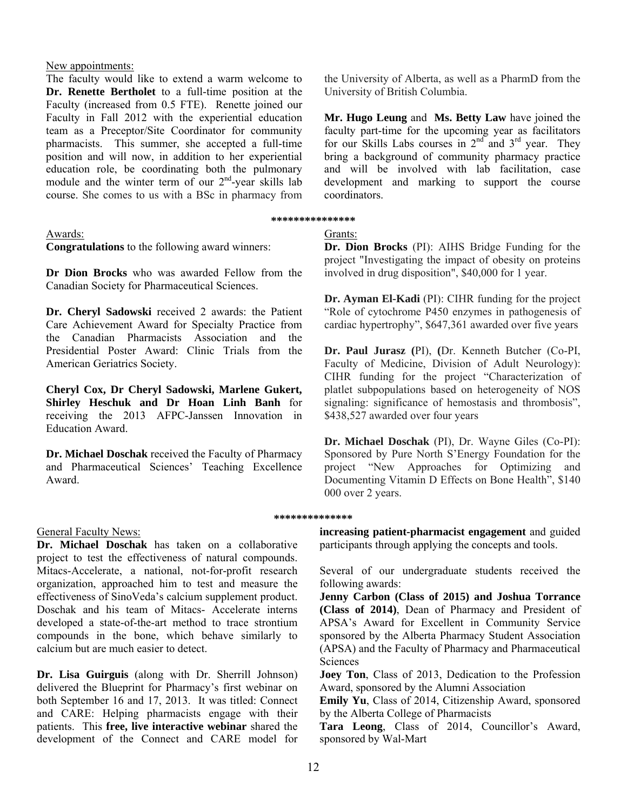#### New appointments:

The faculty would like to extend a warm welcome to **Dr. Renette Bertholet** to a full-time position at the Faculty (increased from 0.5 FTE). Renette joined our Faculty in Fall 2012 with the experiential education team as a Preceptor/Site Coordinator for community pharmacists. This summer, she accepted a full-time position and will now, in addition to her experiential education role, be coordinating both the pulmonary module and the winter term of our 2<sup>nd</sup>-year skills lab course. She comes to us with a BSc in pharmacy from

#### Awards:

**Congratulations** to the following award winners:

**Dr Dion Brocks** who was awarded Fellow from the Canadian Society for Pharmaceutical Sciences.

**Dr. Cheryl Sadowski** received 2 awards: the Patient Care Achievement Award for Specialty Practice from the Canadian Pharmacists Association and the Presidential Poster Award: Clinic Trials from the American Geriatrics Society.

**Cheryl Cox, Dr Cheryl Sadowski, Marlene Gukert, Shirley Heschuk and Dr Hoan Linh Banh** for receiving the 2013 AFPC-Janssen Innovation in Education Award.

**Dr. Michael Doschak** received the Faculty of Pharmacy and Pharmaceutical Sciences' Teaching Excellence Award.

## General Faculty News:

**Dr. Michael Doschak** has taken on a collaborative project to test the effectiveness of natural compounds. Mitacs-Accelerate, a national, not-for-profit research organization, approached him to test and measure the effectiveness of SinoVeda's calcium supplement product. Doschak and his team of Mitacs- Accelerate interns developed a state-of-the-art method to trace strontium compounds in the bone, which behave similarly to calcium but are much easier to detect.

**Dr. Lisa Guirguis** (along with Dr. Sherrill Johnson) delivered the Blueprint for Pharmacy's first webinar on both September 16 and 17, 2013. It was titled: Connect and CARE: Helping pharmacists engage with their patients. This **free, live interactive webinar** shared the development of the Connect and CARE model for

the University of Alberta, as well as a PharmD from the University of British Columbia.

**Mr. Hugo Leung** and **Ms. Betty Law** have joined the faculty part-time for the upcoming year as facilitators for our Skills Labs courses in  $2<sup>nd</sup>$  and  $3<sup>rd</sup>$  year. They bring a background of community pharmacy practice and will be involved with lab facilitation, case development and marking to support the course coordinators.

# **\*\*\*\*\*\*\*\*\*\*\*\*\*\*\***

# Grants:

**Dr. Dion Brocks** (PI): AIHS Bridge Funding for the project "Investigating the impact of obesity on proteins involved in drug disposition", \$40,000 for 1 year.

**Dr. Ayman El-Kadi** (PI): CIHR funding for the project "Role of cytochrome P450 enzymes in pathogenesis of cardiac hypertrophy", \$647,361 awarded over five years

**Dr. Paul Jurasz (**PI), **(**Dr. Kenneth Butcher (Co-PI, Faculty of Medicine, Division of Adult Neurology): CIHR funding for the project "Characterization of platlet subpopulations based on heterogeneity of NOS signaling: significance of hemostasis and thrombosis". \$438,527 awarded over four years

**Dr. Michael Doschak** (PI), Dr. Wayne Giles (Co-PI): Sponsored by Pure North S'Energy Foundation for the project "New Approaches for Optimizing and Documenting Vitamin D Effects on Bone Health", \$140 000 over 2 years.

## **\*\*\*\*\*\*\*\*\*\*\*\*\*\***

**increasing patient-pharmacist engagement** and guided participants through applying the concepts and tools.

Several of our undergraduate students received the following awards:

**Jenny Carbon (Class of 2015) and Joshua Torrance (Class of 2014)**, Dean of Pharmacy and President of APSA's Award for Excellent in Community Service sponsored by the Alberta Pharmacy Student Association (APSA) and the Faculty of Pharmacy and Pharmaceutical Sciences

**Joey Ton**, Class of 2013, Dedication to the Profession Award, sponsored by the Alumni Association

**Emily Yu**, Class of 2014, Citizenship Award, sponsored by the Alberta College of Pharmacists

**Tara Leong**, Class of 2014, Councillor's Award, sponsored by Wal-Mart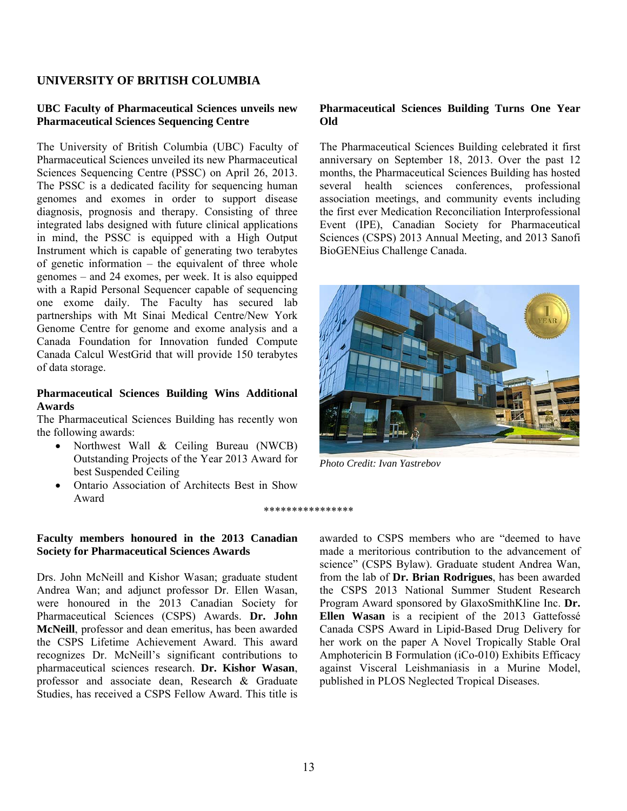## **UNIVERSITY OF BRITISH COLUMBIA**

#### **UBC Faculty of Pharmaceutical Sciences unveils new Pharmaceutical Sciences Sequencing Centre**

The University of British Columbia (UBC) Faculty of Pharmaceutical Sciences unveiled its new Pharmaceutical Sciences Sequencing Centre (PSSC) on April 26, 2013. The PSSC is a dedicated facility for sequencing human genomes and exomes in order to support disease diagnosis, prognosis and therapy. Consisting of three integrated labs designed with future clinical applications in mind, the PSSC is equipped with a High Output Instrument which is capable of generating two terabytes of genetic information – the equivalent of three whole genomes – and 24 exomes, per week. It is also equipped with a Rapid Personal Sequencer capable of sequencing one exome daily. The Faculty has secured lab partnerships with Mt Sinai Medical Centre/New York Genome Centre for genome and exome analysis and a Canada Foundation for Innovation funded Compute Canada Calcul WestGrid that will provide 150 terabytes of data storage.

#### **Pharmaceutical Sciences Building Wins Additional Awards**

The Pharmaceutical Sciences Building has recently won the following awards:

- Northwest Wall & Ceiling Bureau (NWCB) Outstanding Projects of the Year 2013 Award for best Suspended Ceiling
- Ontario Association of Architects Best in Show Award

## **Faculty members honoured in the 2013 Canadian Society for Pharmaceutical Sciences Awards**

Drs. John McNeill and Kishor Wasan; graduate student Andrea Wan; and adjunct professor Dr. Ellen Wasan, were honoured in the 2013 Canadian Society for Pharmaceutical Sciences (CSPS) Awards. **Dr. John McNeill**, professor and dean emeritus, has been awarded the CSPS Lifetime Achievement Award. This award recognizes Dr. McNeill's significant contributions to pharmaceutical sciences research. **Dr. Kishor Wasan**, professor and associate dean, Research & Graduate Studies, has received a CSPS Fellow Award. This title is

#### **Pharmaceutical Sciences Building Turns One Year Old**

The Pharmaceutical Sciences Building celebrated it first anniversary on September 18, 2013. Over the past 12 months, the Pharmaceutical Sciences Building has hosted several health sciences conferences, professional association meetings, and community events including the first ever Medication Reconciliation Interprofessional Event (IPE), Canadian Society for Pharmaceutical Sciences (CSPS) 2013 Annual Meeting, and 2013 Sanofi BioGENEius Challenge Canada.



*Photo Credit: Ivan Yastrebov*

\*\*\*\*\*\*\*\*\*\*\*\*\*\*\*\*

awarded to CSPS members who are "deemed to have made a meritorious contribution to the advancement of science" (CSPS Bylaw). Graduate student Andrea Wan, from the lab of **Dr. Brian Rodrigues**, has been awarded the CSPS 2013 National Summer Student Research Program Award sponsored by GlaxoSmithKline Inc. **Dr. Ellen Wasan** is a recipient of the 2013 Gattefossé Canada CSPS Award in Lipid-Based Drug Delivery for her work on the paper A Novel Tropically Stable Oral Amphotericin B Formulation (iCo-010) Exhibits Efficacy against Visceral Leishmaniasis in a Murine Model, published in PLOS Neglected Tropical Diseases.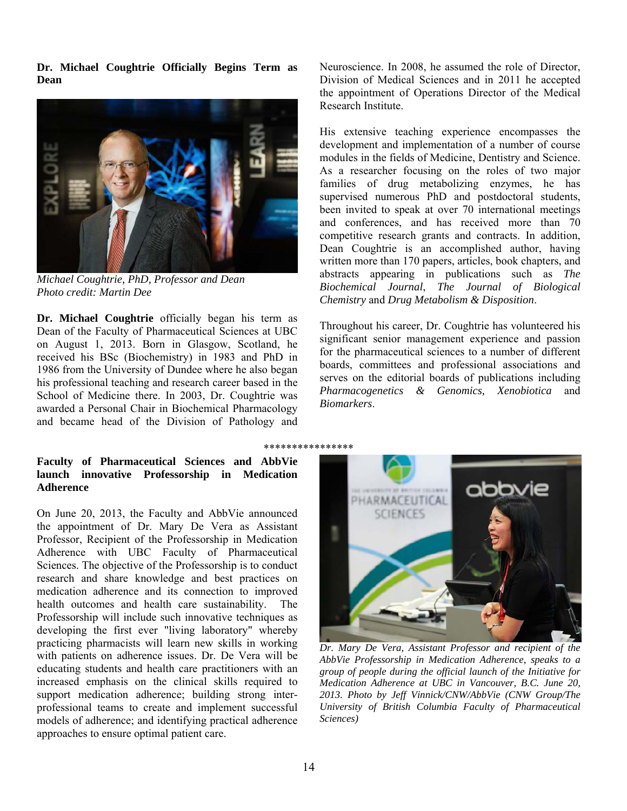**Dr. Michael Coughtrie Officially Begins Term as Dean** 



*Michael Coughtrie, PhD, Professor and Dean Photo credit: Martin Dee*

**Dr. Michael Coughtrie** officially began his term as Dean of the Faculty of Pharmaceutical Sciences at UBC on August 1, 2013. Born in Glasgow, Scotland, he received his BSc (Biochemistry) in 1983 and PhD in 1986 from the University of Dundee where he also began his professional teaching and research career based in the School of Medicine there. In 2003, Dr. Coughtrie was awarded a Personal Chair in Biochemical Pharmacology and became head of the Division of Pathology and

# **Faculty of Pharmaceutical Sciences and AbbVie launch innovative Professorship in Medication Adherence**

On June 20, 2013, the Faculty and AbbVie announced the appointment of Dr. Mary De Vera as Assistant Professor, Recipient of the Professorship in Medication Adherence with UBC Faculty of Pharmaceutical Sciences. The objective of the Professorship is to conduct research and share knowledge and best practices on medication adherence and its connection to improved health outcomes and health care sustainability. The Professorship will include such innovative techniques as developing the first ever "living laboratory" whereby practicing pharmacists will learn new skills in working with patients on adherence issues. Dr. De Vera will be educating students and health care practitioners with an increased emphasis on the clinical skills required to support medication adherence; building strong interprofessional teams to create and implement successful models of adherence; and identifying practical adherence approaches to ensure optimal patient care.

Neuroscience. In 2008, he assumed the role of Director, Division of Medical Sciences and in 2011 he accepted the appointment of Operations Director of the Medical Research Institute.

His extensive teaching experience encompasses the development and implementation of a number of course modules in the fields of Medicine, Dentistry and Science. As a researcher focusing on the roles of two major families of drug metabolizing enzymes, he has supervised numerous PhD and postdoctoral students, been invited to speak at over 70 international meetings and conferences, and has received more than 70 competitive research grants and contracts. In addition, Dean Coughtrie is an accomplished author, having written more than 170 papers, articles, book chapters, and abstracts appearing in publications such as *The Biochemical Journal*, *The Journal of Biological Chemistry* and *Drug Metabolism & Disposition*.

Throughout his career, Dr. Coughtrie has volunteered his significant senior management experience and passion for the pharmaceutical sciences to a number of different boards, committees and professional associations and serves on the editorial boards of publications including *Pharmacogenetics & Genomics, Xenobiotica* and *Biomarkers*.

\*\*\*\*\*\*\*\*\*\*\*\*\*\*\*\*



*Dr. Mary De Vera, Assistant Professor and recipient of the AbbVie Professorship in Medication Adherence, speaks to a group of people during the official launch of the Initiative for Medication Adherence at UBC in Vancouver, B.C. June 20, 2013. Photo by Jeff Vinnick/CNW/AbbVie (CNW Group/The University of British Columbia Faculty of Pharmaceutical Sciences)*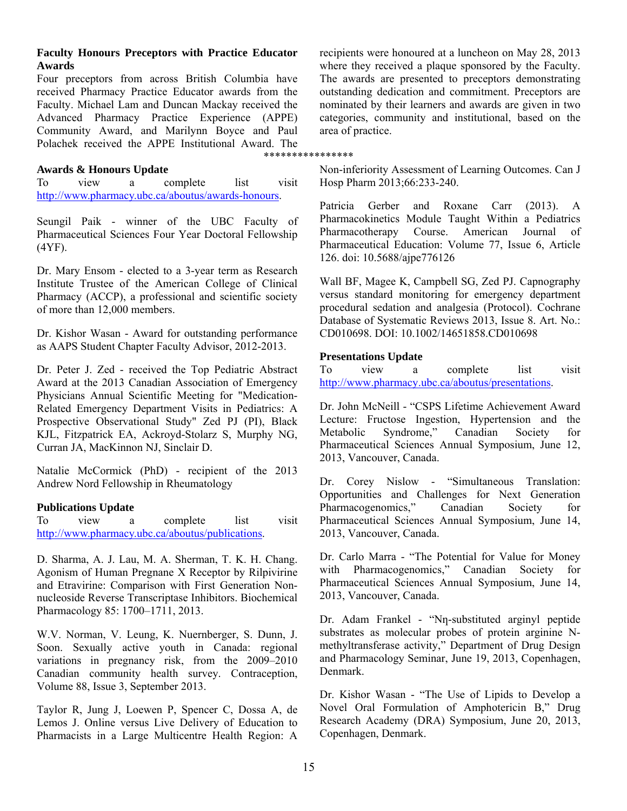#### **Faculty Honours Preceptors with Practice Educator Awards**

Four preceptors from across British Columbia have received Pharmacy Practice Educator awards from the Faculty. Michael Lam and Duncan Mackay received the Advanced Pharmacy Practice Experience (APPE) Community Award, and Marilynn Boyce and Paul Polachek received the APPE Institutional Award. The \*\*\*\*\*\*\*\*\*\*\*\*\*\*\*\*

#### **Awards & Honours Update**

To view a complete list visit http://www.pharmacy.ubc.ca/aboutus/awards-honours.

Seungil Paik - winner of the UBC Faculty of Pharmaceutical Sciences Four Year Doctoral Fellowship (4YF).

Dr. Mary Ensom - elected to a 3-year term as Research Institute Trustee of the American College of Clinical Pharmacy (ACCP), a professional and scientific society of more than 12,000 members.

Dr. Kishor Wasan - Award for outstanding performance as AAPS Student Chapter Faculty Advisor, 2012-2013.

Dr. Peter J. Zed - received the Top Pediatric Abstract Award at the 2013 Canadian Association of Emergency Physicians Annual Scientific Meeting for "Medication-Related Emergency Department Visits in Pediatrics: A Prospective Observational Study" Zed PJ (PI), Black KJL, Fitzpatrick EA, Ackroyd-Stolarz S, Murphy NG, Curran JA, MacKinnon NJ, Sinclair D.

Natalie McCormick (PhD) - recipient of the 2013 Andrew Nord Fellowship in Rheumatology

#### **Publications Update**

To view a complete list visit http://www.pharmacy.ubc.ca/aboutus/publications.

D. Sharma, A. J. Lau, M. A. Sherman, T. K. H. Chang. Agonism of Human Pregnane X Receptor by Rilpivirine and Etravirine: Comparison with First Generation Nonnucleoside Reverse Transcriptase Inhibitors. Biochemical Pharmacology 85: 1700–1711, 2013.

W.V. Norman, V. Leung, K. Nuernberger, S. Dunn, J. Soon. Sexually active youth in Canada: regional variations in pregnancy risk, from the 2009–2010 Canadian community health survey. Contraception, Volume 88, Issue 3, September 2013.

Taylor R, Jung J, Loewen P, Spencer C, Dossa A, de Lemos J. Online versus Live Delivery of Education to Pharmacists in a Large Multicentre Health Region: A recipients were honoured at a luncheon on May 28, 2013 where they received a plaque sponsored by the Faculty. The awards are presented to preceptors demonstrating outstanding dedication and commitment. Preceptors are nominated by their learners and awards are given in two categories, community and institutional, based on the area of practice.

Non-inferiority Assessment of Learning Outcomes. Can J Hosp Pharm 2013;66:233-240.

Patricia Gerber and Roxane Carr (2013). A Pharmacokinetics Module Taught Within a Pediatrics Pharmacotherapy Course. American Journal of Pharmaceutical Education: Volume 77, Issue 6, Article 126. doi: 10.5688/ajpe776126

Wall BF, Magee K, Campbell SG, Zed PJ. Capnography versus standard monitoring for emergency department procedural sedation and analgesia (Protocol). Cochrane Database of Systematic Reviews 2013, Issue 8. Art. No.: CD010698. DOI: 10.1002/14651858.CD010698

#### **Presentations Update**

To view a complete list visit http://www.pharmacy.ubc.ca/aboutus/presentations.

Dr. John McNeill - "CSPS Lifetime Achievement Award Lecture: Fructose Ingestion, Hypertension and the Metabolic Syndrome," Canadian Society for Pharmaceutical Sciences Annual Symposium, June 12, 2013, Vancouver, Canada.

Dr. Corey Nislow - "Simultaneous Translation: Opportunities and Challenges for Next Generation Pharmacogenomics," Canadian Society for Pharmaceutical Sciences Annual Symposium, June 14, 2013, Vancouver, Canada.

Dr. Carlo Marra - "The Potential for Value for Money with Pharmacogenomics," Canadian Society for Pharmaceutical Sciences Annual Symposium, June 14, 2013, Vancouver, Canada.

Dr. Adam Frankel - "Nn-substituted arginyl peptide substrates as molecular probes of protein arginine Nmethyltransferase activity," Department of Drug Design and Pharmacology Seminar, June 19, 2013, Copenhagen, Denmark.

Dr. Kishor Wasan - "The Use of Lipids to Develop a Novel Oral Formulation of Amphotericin B," Drug Research Academy (DRA) Symposium, June 20, 2013, Copenhagen, Denmark.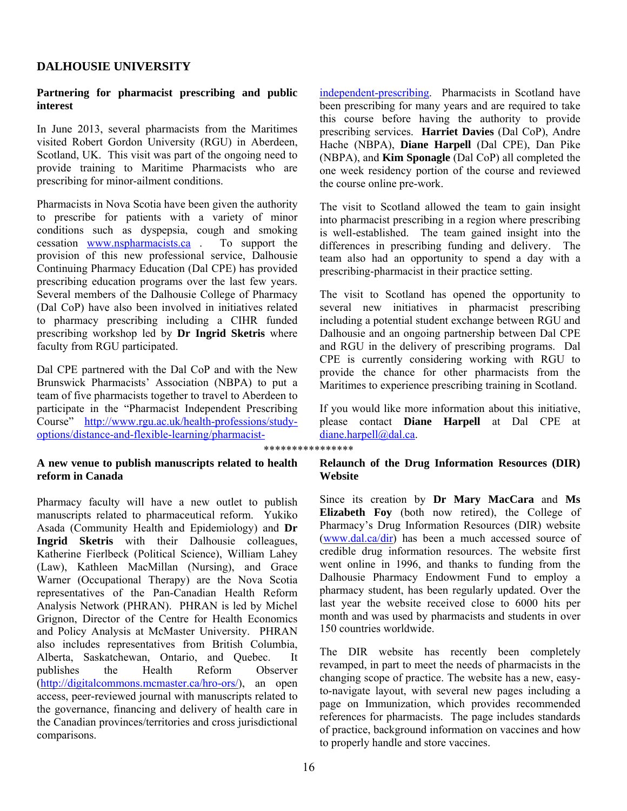## **DALHOUSIE UNIVERSITY**

## **Partnering for pharmacist prescribing and public interest**

In June 2013, several pharmacists from the Maritimes visited Robert Gordon University (RGU) in Aberdeen, Scotland, UK. This visit was part of the ongoing need to provide training to Maritime Pharmacists who are prescribing for minor-ailment conditions.

Pharmacists in Nova Scotia have been given the authority to prescribe for patients with a variety of minor conditions such as dyspepsia, cough and smoking cessation www.nspharmacists.ca . To support the provision of this new professional service, Dalhousie Continuing Pharmacy Education (Dal CPE) has provided prescribing education programs over the last few years. Several members of the Dalhousie College of Pharmacy (Dal CoP) have also been involved in initiatives related to pharmacy prescribing including a CIHR funded prescribing workshop led by **Dr Ingrid Sketris** where faculty from RGU participated.

Dal CPE partnered with the Dal CoP and with the New Brunswick Pharmacists' Association (NBPA) to put a team of five pharmacists together to travel to Aberdeen to participate in the "Pharmacist Independent Prescribing Course" http://www.rgu.ac.uk/health-professions/studyoptions/distance-and-flexible-learning/pharmacist-

\*\*\*\*\*\*\*\*\*\*\*\*\*\*\*\*

## **A new venue to publish manuscripts related to health reform in Canada**

Pharmacy faculty will have a new outlet to publish manuscripts related to pharmaceutical reform. Yukiko Asada (Community Health and Epidemiology) and **Dr Ingrid Sketris** with their Dalhousie colleagues, Katherine Fierlbeck (Political Science), William Lahey (Law), Kathleen MacMillan (Nursing), and Grace Warner (Occupational Therapy) are the Nova Scotia representatives of the Pan-Canadian Health Reform Analysis Network (PHRAN). PHRAN is led by Michel Grignon, Director of the Centre for Health Economics and Policy Analysis at McMaster University. PHRAN also includes representatives from British Columbia, Alberta, Saskatchewan, Ontario, and Quebec. It publishes the Health Reform Observer (http://digitalcommons.mcmaster.ca/hro-ors/), an open access, peer-reviewed journal with manuscripts related to the governance, financing and delivery of health care in the Canadian provinces/territories and cross jurisdictional comparisons.

independent-prescribing. Pharmacists in Scotland have been prescribing for many years and are required to take this course before having the authority to provide prescribing services. **Harriet Davies** (Dal CoP), Andre Hache (NBPA), **Diane Harpell** (Dal CPE), Dan Pike (NBPA), and **Kim Sponagle** (Dal CoP) all completed the one week residency portion of the course and reviewed the course online pre-work.

The visit to Scotland allowed the team to gain insight into pharmacist prescribing in a region where prescribing is well-established. The team gained insight into the differences in prescribing funding and delivery. The team also had an opportunity to spend a day with a prescribing-pharmacist in their practice setting.

The visit to Scotland has opened the opportunity to several new initiatives in pharmacist prescribing including a potential student exchange between RGU and Dalhousie and an ongoing partnership between Dal CPE and RGU in the delivery of prescribing programs. Dal CPE is currently considering working with RGU to provide the chance for other pharmacists from the Maritimes to experience prescribing training in Scotland.

If you would like more information about this initiative, please contact **Diane Harpell** at Dal CPE at diane.harpell@dal.ca.

## **Relaunch of the Drug Information Resources (DIR) Website**

Since its creation by **Dr Mary MacCara** and **Ms Elizabeth Foy** (both now retired), the College of Pharmacy's Drug Information Resources (DIR) website (www.dal.ca/dir) has been a much accessed source of credible drug information resources. The website first went online in 1996, and thanks to funding from the Dalhousie Pharmacy Endowment Fund to employ a pharmacy student, has been regularly updated. Over the last year the website received close to 6000 hits per month and was used by pharmacists and students in over 150 countries worldwide.

The DIR website has recently been completely revamped, in part to meet the needs of pharmacists in the changing scope of practice. The website has a new, easyto-navigate layout, with several new pages including a page on Immunization, which provides recommended references for pharmacists. The page includes standards of practice, background information on vaccines and how to properly handle and store vaccines.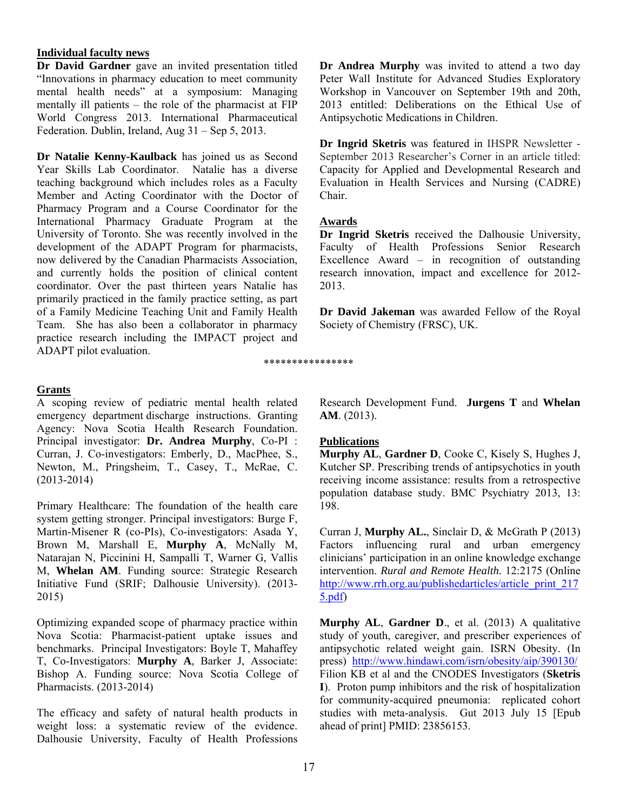## **Individual faculty news**

**Dr David Gardner** gave an invited presentation titled "Innovations in pharmacy education to meet community mental health needs" at a symposium: Managing mentally ill patients – the role of the pharmacist at FIP World Congress 2013. International Pharmaceutical Federation. Dublin, Ireland, Aug 31 – Sep 5, 2013.

**Dr Natalie Kenny-Kaulback** has joined us as Second Year Skills Lab Coordinator. Natalie has a diverse teaching background which includes roles as a Faculty Member and Acting Coordinator with the Doctor of Pharmacy Program and a Course Coordinator for the International Pharmacy Graduate Program at the University of Toronto. She was recently involved in the development of the ADAPT Program for pharmacists, now delivered by the Canadian Pharmacists Association, and currently holds the position of clinical content coordinator. Over the past thirteen years Natalie has primarily practiced in the family practice setting, as part of a Family Medicine Teaching Unit and Family Health Team. She has also been a collaborator in pharmacy practice research including the IMPACT project and ADAPT pilot evaluation.

## **Grants**

A scoping review of pediatric mental health related emergency department discharge instructions. Granting Agency: Nova Scotia Health Research Foundation. Principal investigator: **Dr. Andrea Murphy**, Co-PI : Curran, J. Co-investigators: Emberly, D., MacPhee, S., Newton, M., Pringsheim, T., Casey, T., McRae, C. (2013-2014)

Primary Healthcare: The foundation of the health care system getting stronger. Principal investigators: Burge F, Martin-Misener R (co-PIs), Co-investigators: Asada Y, Brown M, Marshall E, **Murphy A**, McNally M, Natarajan N, Piccinini H, Sampalli T, Warner G, Vallis M, **Whelan AM**. Funding source: Strategic Research Initiative Fund (SRIF; Dalhousie University). (2013- 2015)

Optimizing expanded scope of pharmacy practice within Nova Scotia: Pharmacist-patient uptake issues and benchmarks. Principal Investigators: Boyle T, Mahaffey T, Co-Investigators: **Murphy A**, Barker J, Associate: Bishop A. Funding source: Nova Scotia College of Pharmacists. (2013-2014)

The efficacy and safety of natural health products in weight loss: a systematic review of the evidence. Dalhousie University, Faculty of Health Professions **Dr Andrea Murphy** was invited to attend a two day Peter Wall Institute for Advanced Studies Exploratory Workshop in Vancouver on September 19th and 20th, 2013 entitled: Deliberations on the Ethical Use of Antipsychotic Medications in Children.

**Dr Ingrid Sketris** was featured in IHSPR Newsletter - September 2013 Researcher's Corner in an article titled: Capacity for Applied and Developmental Research and Evaluation in Health Services and Nursing (CADRE) Chair.

## **Awards**

\*\*\*\*\*\*\*\*\*\*\*\*\*\*\*\*

**Dr Ingrid Sketris** received the Dalhousie University, Faculty of Health Professions Senior Research Excellence Award – in recognition of outstanding research innovation, impact and excellence for 2012- 2013.

**Dr David Jakeman** was awarded Fellow of the Royal Society of Chemistry (FRSC), UK.

Research Development Fund. **Jurgens T** and **Whelan AM**. (2013).

## **Publications**

**Murphy AL**, **Gardner D**, Cooke C, Kisely S, Hughes J, Kutcher SP. Prescribing trends of antipsychotics in youth receiving income assistance: results from a retrospective population database study. BMC Psychiatry 2013, 13: 198.

Curran J, **Murphy AL.**, Sinclair D, & McGrath P (2013) Factors influencing rural and urban emergency clinicians' participation in an online knowledge exchange intervention. *Rural and Remote Health.* 12:2175 (Online http://www.rrh.org.au/publishedarticles/article\_print\_217 5.pdf)

**Murphy AL**, **Gardner D**., et al. (2013) A qualitative study of youth, caregiver, and prescriber experiences of antipsychotic related weight gain. ISRN Obesity. (In press) http://www.hindawi.com/isrn/obesity/aip/390130/ Filion KB et al and the CNODES Investigators (**Sketris I**). Proton pump inhibitors and the risk of hospitalization for community-acquired pneumonia: replicated cohort studies with meta-analysis. Gut 2013 July 15 [Epub ahead of print] PMID: 23856153.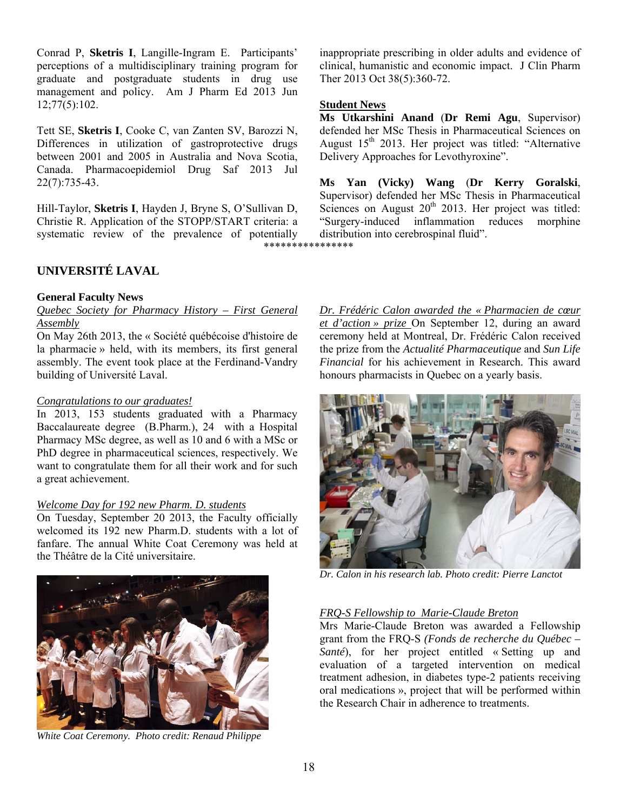Conrad P, **Sketris I**, Langille-Ingram E. Participants' perceptions of a multidisciplinary training program for graduate and postgraduate students in drug use management and policy. Am J Pharm Ed 2013 Jun 12;77(5):102.

Tett SE, **Sketris I**, Cooke C, van Zanten SV, Barozzi N, Differences in utilization of gastroprotective drugs between 2001 and 2005 in Australia and Nova Scotia, Canada. Pharmacoepidemiol Drug Saf 2013 Jul 22(7):735-43.

Hill-Taylor, **Sketris I**, Hayden J, Bryne S, O'Sullivan D, Christie R. Application of the STOPP/START criteria: a systematic review of the prevalence of potentially

\*\*\*\*\*\*\*\*\*\*\*\*\*\*\*\*

# **UNIVERSITÉ LAVAL**

## **General Faculty News**

## *Quebec Society for Pharmacy History – First General Assembly*

On May 26th 2013, the « Société québécoise d'histoire de la pharmacie » held, with its members, its first general assembly. The event took place at the Ferdinand-Vandry building of Université Laval.

## *Congratulations to our graduates!*

In 2013, 153 students graduated with a Pharmacy Baccalaureate degree (B.Pharm.), 24 with a Hospital Pharmacy MSc degree, as well as 10 and 6 with a MSc or PhD degree in pharmaceutical sciences, respectively. We want to congratulate them for all their work and for such a great achievement.

## *Welcome Day for 192 new Pharm. D. students*

On Tuesday, September 20 2013, the Faculty officially welcomed its 192 new Pharm.D. students with a lot of fanfare. The annual White Coat Ceremony was held at the Théâtre de la Cité universitaire.



*White Coat Ceremony. Photo credit: Renaud Philippe* 

inappropriate prescribing in older adults and evidence of clinical, humanistic and economic impact. J Clin Pharm Ther 2013 Oct 38(5):360-72.

#### **Student News**

**Ms Utkarshini Anand** (**Dr Remi Agu**, Supervisor) defended her MSc Thesis in Pharmaceutical Sciences on August  $15<sup>th</sup>$  2013. Her project was titled: "Alternative Delivery Approaches for Levothyroxine".

**Ms Yan (Vicky) Wang** (**Dr Kerry Goralski**, Supervisor) defended her MSc Thesis in Pharmaceutical Sciences on August  $20<sup>th</sup>$  2013. Her project was titled: "Surgery-induced inflammation reduces morphine distribution into cerebrospinal fluid".

*Dr. Frédéric Calon awarded the « Pharmacien de cœur et d'action » prize* On September 12, during an award ceremony held at Montreal, Dr. Frédéric Calon received the prize from the *Actualité Pharmaceutique* and *Sun Life Financial* for his achievement in Research. This award honours pharmacists in Quebec on a yearly basis.



*Dr. Calon in his research lab. Photo credit: Pierre Lanctot* 

## *FRQ-S Fellowship to Marie-Claude Breton*

Mrs Marie-Claude Breton was awarded a Fellowship grant from the FRQ-S *(Fonds de recherche du Québec – Santé*), for her project entitled « Setting up and evaluation of a targeted intervention on medical treatment adhesion, in diabetes type-2 patients receiving oral medications », project that will be performed within the Research Chair in adherence to treatments.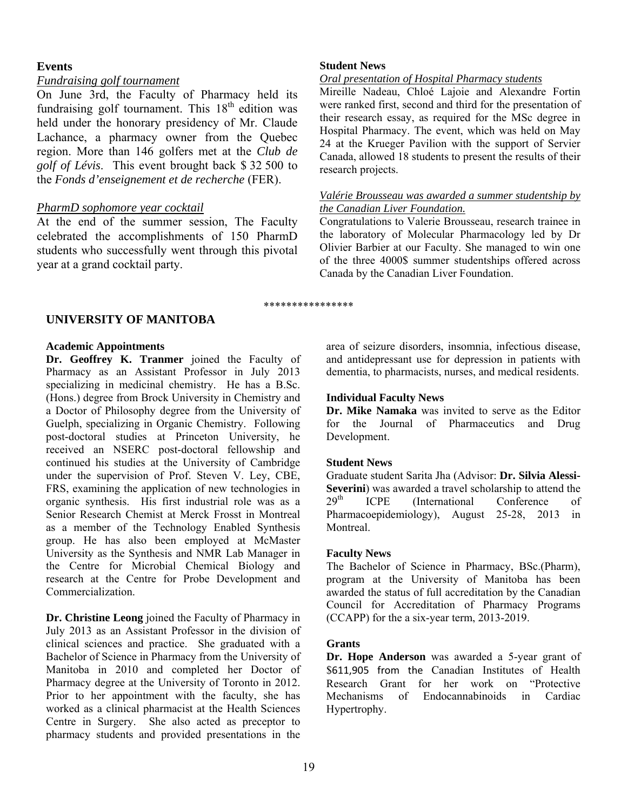## **Events**

# *Fundraising golf tournament*

On June 3rd, the Faculty of Pharmacy held its fundraising golf tournament. This  $18<sup>th</sup>$  edition was held under the honorary presidency of Mr. Claude Lachance, a pharmacy owner from the Quebec region. More than 146 golfers met at the *Club de golf of Lévis*. This event brought back \$ 32 500 to the *Fonds d'enseignement et de recherche* (FER).

# *PharmD sophomore year cocktail*

At the end of the summer session, The Faculty celebrated the accomplishments of 150 PharmD students who successfully went through this pivotal year at a grand cocktail party.

## **Student News**

## *Oral presentation of Hospital Pharmacy students*

Mireille Nadeau, Chloé Lajoie and Alexandre Fortin were ranked first, second and third for the presentation of their research essay, as required for the MSc degree in Hospital Pharmacy. The event, which was held on May 24 at the Krueger Pavilion with the support of Servier Canada, allowed 18 students to present the results of their research projects.

## *Valérie Brousseau was awarded a summer studentship by the Canadian Liver Foundation.*

Congratulations to Valerie Brousseau, research trainee in the laboratory of Molecular Pharmacology led by Dr Olivier Barbier at our Faculty. She managed to win one of the three 4000\$ summer studentships offered across Canada by the Canadian Liver Foundation.

#### \*\*\*\*\*\*\*\*\*\*\*\*\*\*\*\*

# **UNIVERSITY OF MANITOBA**

## **Academic Appointments**

**Dr. Geoffrey K. Tranmer** joined the Faculty of Pharmacy as an Assistant Professor in July 2013 specializing in medicinal chemistry. He has a B.Sc. (Hons.) degree from Brock University in Chemistry and a Doctor of Philosophy degree from the University of Guelph, specializing in Organic Chemistry. Following post-doctoral studies at Princeton University, he received an NSERC post-doctoral fellowship and continued his studies at the University of Cambridge under the supervision of Prof. Steven V. Ley, CBE, FRS, examining the application of new technologies in organic synthesis. His first industrial role was as a Senior Research Chemist at Merck Frosst in Montreal as a member of the Technology Enabled Synthesis group. He has also been employed at McMaster University as the Synthesis and NMR Lab Manager in the Centre for Microbial Chemical Biology and research at the Centre for Probe Development and Commercialization.

**Dr. Christine Leong** joined the Faculty of Pharmacy in July 2013 as an Assistant Professor in the division of clinical sciences and practice. She graduated with a Bachelor of Science in Pharmacy from the University of Manitoba in 2010 and completed her Doctor of Pharmacy degree at the University of Toronto in 2012. Prior to her appointment with the faculty, she has worked as a clinical pharmacist at the Health Sciences Centre in Surgery. She also acted as preceptor to pharmacy students and provided presentations in the

area of seizure disorders, insomnia, infectious disease, and antidepressant use for depression in patients with dementia, to pharmacists, nurses, and medical residents.

# **Individual Faculty News**

**Dr. Mike Namaka** was invited to serve as the Editor for the Journal of Pharmaceutics and Drug Development.

# **Student News**

Graduate student Sarita Jha (Advisor: **Dr. Silvia Alessi-Severini**) was awarded a travel scholarship to attend the  $29<sup>th</sup>$  ICPE (International Conference of Pharmacoepidemiology), August 25-28, 2013 in Montreal.

# **Faculty News**

The Bachelor of Science in Pharmacy, BSc.(Pharm), program at the University of Manitoba has been awarded the status of full accreditation by the Canadian Council for Accreditation of Pharmacy Programs (CCAPP) for the a six-year term, 2013-2019.

# **Grants**

**Dr. Hope Anderson** was awarded a 5-year grant of \$611,905 from the Canadian Institutes of Health Research Grant for her work on "Protective Mechanisms of Endocannabinoids in Cardiac Hypertrophy.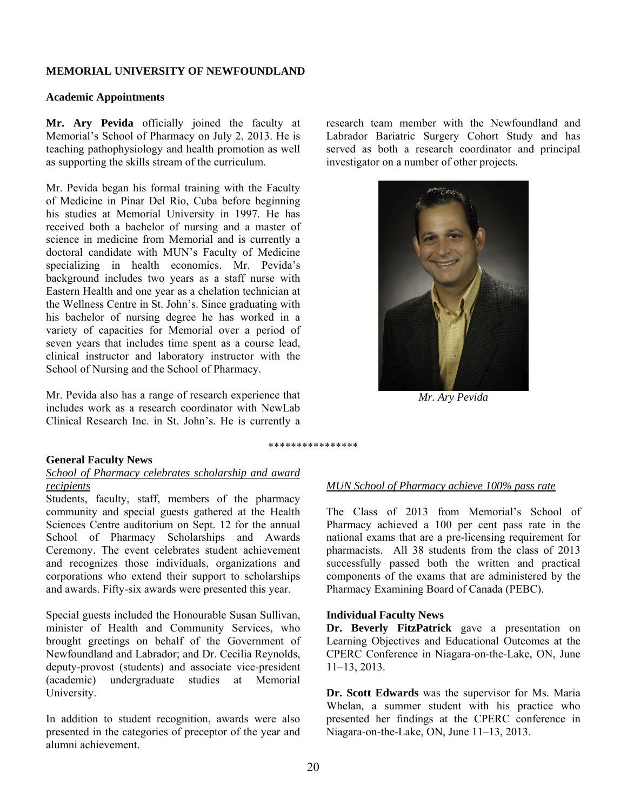#### **MEMORIAL UNIVERSITY OF NEWFOUNDLAND**

#### **Academic Appointments**

**Mr. Ary Pevida** officially joined the faculty at Memorial's School of Pharmacy on July 2, 2013. He is teaching pathophysiology and health promotion as well as supporting the skills stream of the curriculum.

Mr. Pevida began his formal training with the Faculty of Medicine in Pinar Del Rio, Cuba before beginning his studies at Memorial University in 1997. He has received both a bachelor of nursing and a master of science in medicine from Memorial and is currently a doctoral candidate with MUN's Faculty of Medicine specializing in health economics. Mr. Pevida's background includes two years as a staff nurse with Eastern Health and one year as a chelation technician at the Wellness Centre in St. John's. Since graduating with his bachelor of nursing degree he has worked in a variety of capacities for Memorial over a period of seven years that includes time spent as a course lead, clinical instructor and laboratory instructor with the School of Nursing and the School of Pharmacy.

Mr. Pevida also has a range of research experience that includes work as a research coordinator with NewLab Clinical Research Inc. in St. John's. He is currently a

**General Faculty News** 

#### *School of Pharmacy celebrates scholarship and award recipients*

Students, faculty, staff, members of the pharmacy community and special guests gathered at the Health Sciences Centre auditorium on Sept. 12 for the annual School of Pharmacy Scholarships and Awards Ceremony. The event celebrates student achievement and recognizes those individuals, organizations and corporations who extend their support to scholarships and awards. Fifty-six awards were presented this year.

Special guests included the Honourable Susan Sullivan, minister of Health and Community Services, who brought greetings on behalf of the Government of Newfoundland and Labrador; and Dr. Cecilia Reynolds, deputy-provost (students) and associate vice-president (academic) undergraduate studies at Memorial University.

In addition to student recognition, awards were also presented in the categories of preceptor of the year and alumni achievement.

research team member with the Newfoundland and Labrador Bariatric Surgery Cohort Study and has served as both a research coordinator and principal investigator on a number of other projects.



*Mr. Ary Pevida* 

*MUN School of Pharmacy achieve 100% pass rate* 

The Class of 2013 from Memorial's School of Pharmacy achieved a 100 per cent pass rate in the national exams that are a pre-licensing requirement for pharmacists. All 38 students from the class of 2013 successfully passed both the written and practical components of the exams that are administered by the Pharmacy Examining Board of Canada (PEBC).

#### **Individual Faculty News**

**Dr. Beverly FitzPatrick** gave a presentation on Learning Objectives and Educational Outcomes at the CPERC Conference in Niagara-on-the-Lake, ON, June 11–13, 2013.

**Dr. Scott Edwards** was the supervisor for Ms. Maria Whelan, a summer student with his practice who presented her findings at the CPERC conference in Niagara-on-the-Lake, ON, June 11–13, 2013.

\*\*\*\*\*\*\*\*\*\*\*\*\*\*\*\*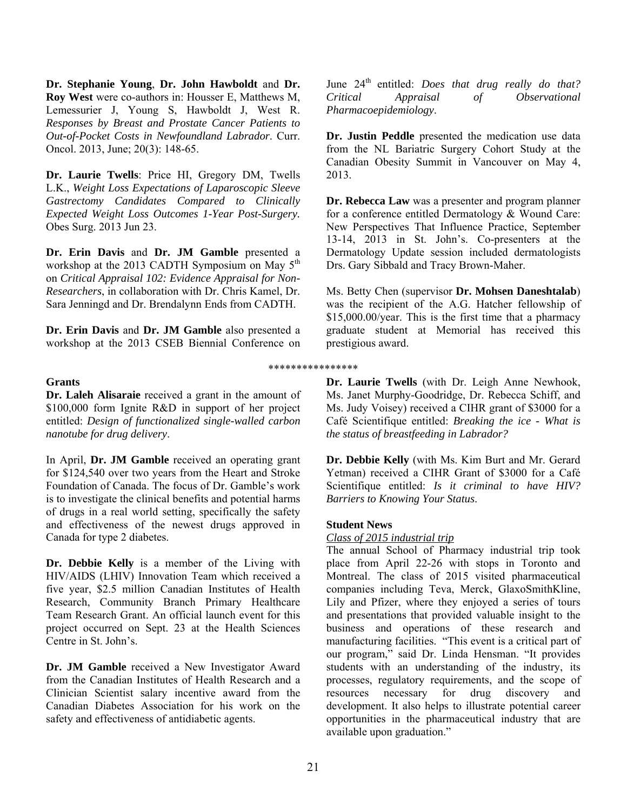**Dr. Stephanie Young**, **Dr. John Hawboldt** and **Dr. Roy West** were co-authors in: Housser E, Matthews M, Lemessurier J, Young S, Hawboldt J, West R. *Responses by Breast and Prostate Cancer Patients to Out-of-Pocket Costs in Newfoundland Labrador*. Curr. Oncol. 2013, June; 20(3): 148-65.

**Dr. Laurie Twells**: Price HI, Gregory DM, Twells L.K., *Weight Loss Expectations of Laparoscopic Sleeve Gastrectomy Candidates Compared to Clinically Expected Weight Loss Outcomes 1-Year Post-Surgery.*  Obes Surg. 2013 Jun 23.

**Dr. Erin Davis** and **Dr. JM Gamble** presented a workshop at the 2013 CADTH Symposium on May  $5<sup>th</sup>$ on *Critical Appraisal 102: Evidence Appraisal for Non-Researchers*, in collaboration with Dr. Chris Kamel, Dr. Sara Jenningd and Dr. Brendalynn Ends from CADTH.

**Dr. Erin Davis** and **Dr. JM Gamble** also presented a workshop at the 2013 CSEB Biennial Conference on

#### **Grants**

**Dr. Laleh Alisaraie** received a grant in the amount of \$100,000 form Ignite R&D in support of her project entitled: *Design of functionalized single-walled carbon nanotube for drug delivery*.

In April, **Dr. JM Gamble** received an operating grant for \$124,540 over two years from the Heart and Stroke Foundation of Canada. The focus of Dr. Gamble's work is to investigate the clinical benefits and potential harms of drugs in a real world setting, specifically the safety and effectiveness of the newest drugs approved in Canada for type 2 diabetes.

**Dr. Debbie Kelly** is a member of the Living with HIV/AIDS (LHIV) Innovation Team which received a five year, \$2.5 million Canadian Institutes of Health Research, Community Branch Primary Healthcare Team Research Grant. An official launch event for this project occurred on Sept. 23 at the Health Sciences Centre in St. John's.

**Dr. JM Gamble** received a New Investigator Award from the Canadian Institutes of Health Research and a Clinician Scientist salary incentive award from the Canadian Diabetes Association for his work on the safety and effectiveness of antidiabetic agents.

June 24<sup>th</sup> entitled: *Does that drug really do that? Critical Appraisal of Observational Pharmacoepidemiology*.

**Dr. Justin Peddle** presented the medication use data from the NL Bariatric Surgery Cohort Study at the Canadian Obesity Summit in Vancouver on May 4, 2013.

**Dr. Rebecca Law** was a presenter and program planner for a conference entitled Dermatology & Wound Care: New Perspectives That Influence Practice, September 13-14, 2013 in St. John's. Co-presenters at the Dermatology Update session included dermatologists Drs. Gary Sibbald and Tracy Brown-Maher.

Ms. Betty Chen (supervisor **Dr. Mohsen Daneshtalab**) was the recipient of the A.G. Hatcher fellowship of \$15,000.00/year. This is the first time that a pharmacy graduate student at Memorial has received this prestigious award.

**Dr. Laurie Twells** (with Dr. Leigh Anne Newhook, Ms. Janet Murphy-Goodridge, Dr. Rebecca Schiff, and Ms. Judy Voisey) received a CIHR grant of \$3000 for a Café Scientifique entitled: *Breaking the ice - What is the status of breastfeeding in Labrador?* 

**Dr. Debbie Kelly** (with Ms. Kim Burt and Mr. Gerard Yetman) received a CIHR Grant of \$3000 for a Café Scientifique entitled: *Is it criminal to have HIV? Barriers to Knowing Your Status*.

#### **Student News**

\*\*\*\*\*\*\*\*\*\*\*\*\*\*\*\*

#### *Class of 2015 industrial trip*

The annual School of Pharmacy industrial trip took place from April 22-26 with stops in Toronto and Montreal. The class of 2015 visited pharmaceutical companies including Teva, Merck, GlaxoSmithKline, Lily and Pfizer, where they enjoyed a series of tours and presentations that provided valuable insight to the business and operations of these research and manufacturing facilities. "This event is a critical part of our program," said Dr. Linda Hensman. "It provides students with an understanding of the industry, its processes, regulatory requirements, and the scope of resources necessary for drug discovery and development. It also helps to illustrate potential career opportunities in the pharmaceutical industry that are available upon graduation."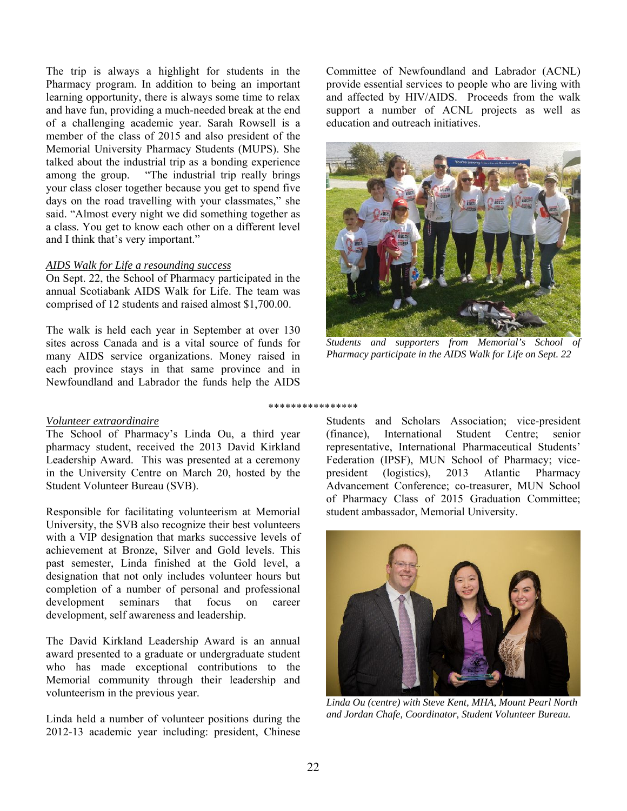The trip is always a highlight for students in the Pharmacy program. In addition to being an important learning opportunity, there is always some time to relax and have fun, providing a much-needed break at the end of a challenging academic year. Sarah Rowsell is a member of the class of 2015 and also president of the Memorial University Pharmacy Students (MUPS). She talked about the industrial trip as a bonding experience among the group. "The industrial trip really brings your class closer together because you get to spend five days on the road travelling with your classmates," she said. "Almost every night we did something together as a class. You get to know each other on a different level and I think that's very important."

#### *AIDS Walk for Life a resounding success*

On Sept. 22, the School of Pharmacy participated in the annual Scotiabank AIDS Walk for Life. The team was comprised of 12 students and raised almost \$1,700.00.

The walk is held each year in September at over 130 sites across Canada and is a vital source of funds for many AIDS service organizations. Money raised in each province stays in that same province and in Newfoundland and Labrador the funds help the AIDS

#### *Volunteer extraordinaire*

The School of Pharmacy's Linda Ou, a third year pharmacy student, received the 2013 David Kirkland Leadership Award. This was presented at a ceremony in the University Centre on March 20, hosted by the Student Volunteer Bureau (SVB).

Responsible for facilitating volunteerism at Memorial University, the SVB also recognize their best volunteers with a VIP designation that marks successive levels of achievement at Bronze, Silver and Gold levels. This past semester, Linda finished at the Gold level, a designation that not only includes volunteer hours but completion of a number of personal and professional development seminars that focus on career development, self awareness and leadership.

The David Kirkland Leadership Award is an annual award presented to a graduate or undergraduate student who has made exceptional contributions to the Memorial community through their leadership and volunteerism in the previous year.

Linda held a number of volunteer positions during the 2012-13 academic year including: president, Chinese Committee of Newfoundland and Labrador (ACNL) provide essential services to people who are living with and affected by HIV/AIDS. Proceeds from the walk support a number of ACNL projects as well as education and outreach initiatives.



*Students and supporters from Memorial's School of Pharmacy participate in the AIDS Walk for Life on Sept. 22* 

#### \*\*\*\*\*\*\*\*\*\*\*\*\*\*\*\*

Students and Scholars Association; vice-president (finance), International Student Centre; senior representative, International Pharmaceutical Students' Federation (IPSF), MUN School of Pharmacy; vicepresident (logistics), 2013 Atlantic Pharmacy Advancement Conference; co-treasurer, MUN School of Pharmacy Class of 2015 Graduation Committee; student ambassador, Memorial University.



*Linda Ou (centre) with Steve Kent, MHA, Mount Pearl North and Jordan Chafe, Coordinator, Student Volunteer Bureau.*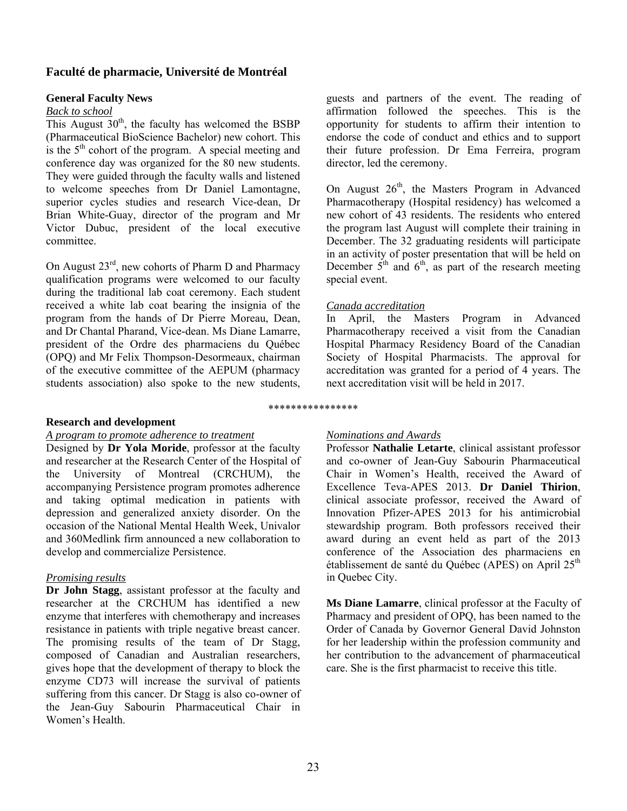## **Faculté de pharmacie, Université de Montréal**

#### **General Faculty News**

#### *Back to school*

This August  $30<sup>th</sup>$ , the faculty has welcomed the BSBP (Pharmaceutical BioScience Bachelor) new cohort. This is the  $5<sup>th</sup>$  cohort of the program. A special meeting and conference day was organized for the 80 new students. They were guided through the faculty walls and listened to welcome speeches from Dr Daniel Lamontagne, superior cycles studies and research Vice-dean, Dr Brian White-Guay, director of the program and Mr Victor Dubuc, president of the local executive committee.

On August 23<sup>rd</sup>, new cohorts of Pharm D and Pharmacy qualification programs were welcomed to our faculty during the traditional lab coat ceremony. Each student received a white lab coat bearing the insignia of the program from the hands of Dr Pierre Moreau, Dean, and Dr Chantal Pharand, Vice-dean. Ms Diane Lamarre, president of the Ordre des pharmaciens du Québec (OPQ) and Mr Felix Thompson-Desormeaux, chairman of the executive committee of the AEPUM (pharmacy students association) also spoke to the new students,

#### **Research and development**

#### *A program to promote adherence to treatment*

Designed by **Dr Yola Moride**, professor at the faculty and researcher at the Research Center of the Hospital of the University of Montreal (CRCHUM), the accompanying Persistence program promotes adherence and taking optimal medication in patients with depression and generalized anxiety disorder. On the occasion of the National Mental Health Week, Univalor and 360Medlink firm announced a new collaboration to develop and commercialize Persistence.

## *Promising results*

**Dr John Stagg**, assistant professor at the faculty and researcher at the CRCHUM has identified a new enzyme that interferes with chemotherapy and increases resistance in patients with triple negative breast cancer. The promising results of the team of Dr Stagg, composed of Canadian and Australian researchers, gives hope that the development of therapy to block the enzyme CD73 will increase the survival of patients suffering from this cancer. Dr Stagg is also co-owner of the Jean-Guy Sabourin Pharmaceutical Chair in Women's Health.

guests and partners of the event. The reading of affirmation followed the speeches. This is the opportunity for students to affirm their intention to endorse the code of conduct and ethics and to support their future profession. Dr Ema Ferreira, program director, led the ceremony.

On August  $26<sup>th</sup>$ , the Masters Program in Advanced Pharmacotherapy (Hospital residency) has welcomed a new cohort of 43 residents. The residents who entered the program last August will complete their training in December. The 32 graduating residents will participate in an activity of poster presentation that will be held on December  $5<sup>th</sup>$  and  $6<sup>th</sup>$ , as part of the research meeting special event.

#### *Canada accreditation*

In April, the Masters Program in Advanced Pharmacotherapy received a visit from the Canadian Hospital Pharmacy Residency Board of the Canadian Society of Hospital Pharmacists. The approval for accreditation was granted for a period of 4 years. The next accreditation visit will be held in 2017.

# \*\*\*\*\*\*\*\*\*\*\*\*\*\*\*\*

## *Nominations and Awards*

Professor **Nathalie Letarte**, clinical assistant professor and co-owner of Jean-Guy Sabourin Pharmaceutical Chair in Women's Health, received the Award of Excellence Teva-APES 2013. **Dr Daniel Thirion**, clinical associate professor, received the Award of Innovation Pfizer-APES 2013 for his antimicrobial stewardship program. Both professors received their award during an event held as part of the 2013 conference of the Association des pharmaciens en établissement de santé du Québec (APES) on April 25th in Quebec City.

**Ms Diane Lamarre**, clinical professor at the Faculty of Pharmacy and president of OPQ, has been named to the Order of Canada by Governor General David Johnston for her leadership within the profession community and her contribution to the advancement of pharmaceutical care. She is the first pharmacist to receive this title.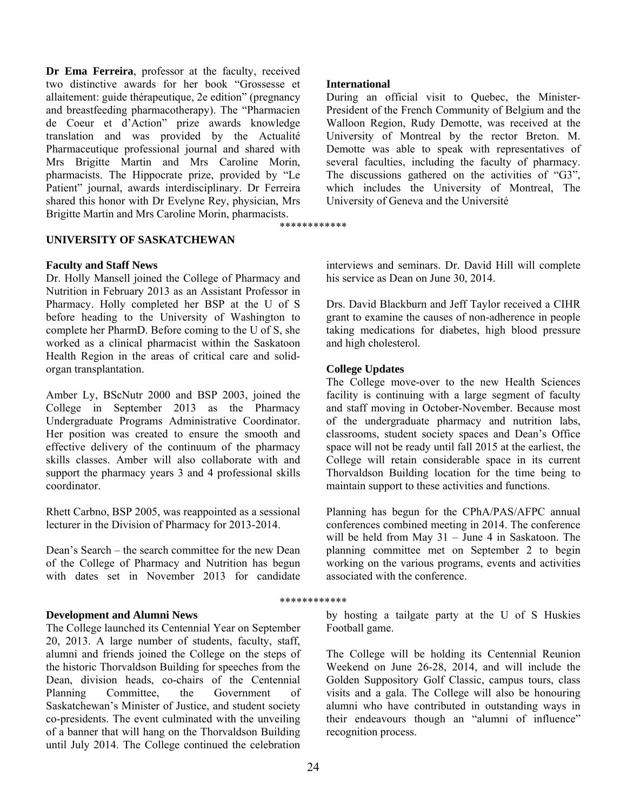**Dr Ema Ferreira**, professor at the faculty, received two distinctive awards for her book "Grossesse et allaitement: guide thérapeutique, 2e edition" (pregnancy and breastfeeding pharmacotherapy). The "Pharmacien de Coeur et d'Action" prize awards knowledge translation and was provided by the Actualité Pharmaceutique professional journal and shared with Mrs Brigitte Martin and Mrs Caroline Morin, pharmacists. The Hippocrate prize, provided by "Le Patient" journal, awards interdisciplinary. Dr Ferreira shared this honor with Dr Evelyne Rey, physician, Mrs Brigitte Martin and Mrs Caroline Morin, pharmacists.

#### **UNIVERSITY OF SASKATCHEWAN**

#### **Faculty and Staff News**

Dr. Holly Mansell joined the College of Pharmacy and Nutrition in February 2013 as an Assistant Professor in Pharmacy. Holly completed her BSP at the U of S before heading to the University of Washington to complete her PharmD. Before coming to the U of S, she worked as a clinical pharmacist within the Saskatoon Health Region in the areas of critical care and solidorgan transplantation.

Amber Ly, BScNutr 2000 and BSP 2003, joined the College in September 2013 as the Pharmacy Undergraduate Programs Administrative Coordinator. Her position was created to ensure the smooth and effective delivery of the continuum of the pharmacy skills classes. Amber will also collaborate with and support the pharmacy years 3 and 4 professional skills coordinator.

Rhett Carbno, BSP 2005, was reappointed as a sessional lecturer in the Division of Pharmacy for 2013-2014.

Dean's Search – the search committee for the new Dean of the College of Pharmacy and Nutrition has begun with dates set in November 2013 for candidate

#### **Development and Alumni News**

The College launched its Centennial Year on September 20, 2013. A large number of students, faculty, staff, alumni and friends joined the College on the steps of the historic Thorvaldson Building for speeches from the Dean, division heads, co-chairs of the Centennial Planning Committee, the Government of Saskatchewan's Minister of Justice, and student society co-presidents. The event culminated with the unveiling of a banner that will hang on the Thorvaldson Building until July 2014. The College continued the celebration

#### **International**

\*\*\*\*\*\*\*\*\*\*\*\*

During an official visit to Quebec, the Minister-President of the French Community of Belgium and the Walloon Region, Rudy Demotte, was received at the University of Montreal by the rector Breton. M. Demotte was able to speak with representatives of several faculties, including the faculty of pharmacy. The discussions gathered on the activities of "G3", which includes the University of Montreal, The University of Geneva and the Université

interviews and seminars. Dr. David Hill will complete his service as Dean on June 30, 2014.

Drs. David Blackburn and Jeff Taylor received a CIHR grant to examine the causes of non-adherence in people taking medications for diabetes, high blood pressure and high cholesterol.

#### **College Updates**

The College move-over to the new Health Sciences facility is continuing with a large segment of faculty and staff moving in October-November. Because most of the undergraduate pharmacy and nutrition labs, classrooms, student society spaces and Dean's Office space will not be ready until fall 2015 at the earliest, the College will retain considerable space in its current Thorvaldson Building location for the time being to maintain support to these activities and functions.

Planning has begun for the CPhA/PAS/AFPC annual conferences combined meeting in 2014. The conference will be held from May 31 – June 4 in Saskatoon. The planning committee met on September 2 to begin working on the various programs, events and activities associated with the conference.

#### \*\*\*\*\*\*\*\*\*\*\*\*

by hosting a tailgate party at the U of S Huskies Football game.

The College will be holding its Centennial Reunion Weekend on June 26-28, 2014, and will include the Golden Suppository Golf Classic, campus tours, class visits and a gala. The College will also be honouring alumni who have contributed in outstanding ways in their endeavours though an "alumni of influence" recognition process.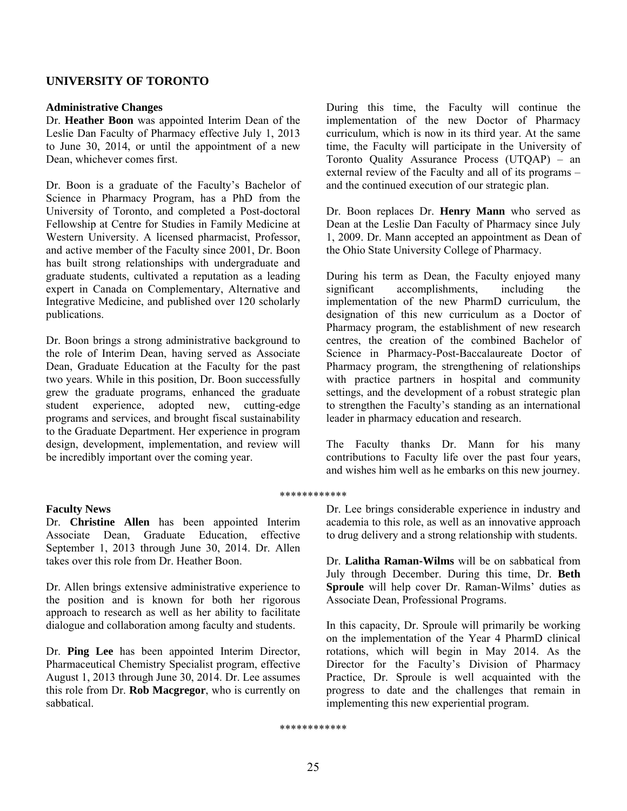## **UNIVERSITY OF TORONTO**

#### **Administrative Changes**

Dr. **Heather Boon** was appointed Interim Dean of the Leslie Dan Faculty of Pharmacy effective July 1, 2013 to June 30, 2014, or until the appointment of a new Dean, whichever comes first.

Dr. Boon is a graduate of the Faculty's Bachelor of Science in Pharmacy Program, has a PhD from the University of Toronto, and completed a Post-doctoral Fellowship at Centre for Studies in Family Medicine at Western University. A licensed pharmacist, Professor, and active member of the Faculty since 2001, Dr. Boon has built strong relationships with undergraduate and graduate students, cultivated a reputation as a leading expert in Canada on Complementary, Alternative and Integrative Medicine, and published over 120 scholarly publications.

Dr. Boon brings a strong administrative background to the role of Interim Dean, having served as Associate Dean, Graduate Education at the Faculty for the past two years. While in this position, Dr. Boon successfully grew the graduate programs, enhanced the graduate student experience, adopted new, cutting-edge programs and services, and brought fiscal sustainability to the Graduate Department. Her experience in program design, development, implementation, and review will be incredibly important over the coming year.

#### **Faculty News**

Dr. **Christine Allen** has been appointed Interim Associate Dean, Graduate Education, effective September 1, 2013 through June 30, 2014. Dr. Allen takes over this role from Dr. Heather Boon.

Dr. Allen brings extensive administrative experience to the position and is known for both her rigorous approach to research as well as her ability to facilitate dialogue and collaboration among faculty and students.

Dr. **Ping Lee** has been appointed Interim Director, Pharmaceutical Chemistry Specialist program, effective August 1, 2013 through June 30, 2014. Dr. Lee assumes this role from Dr. **Rob Macgregor**, who is currently on sabbatical.

During this time, the Faculty will continue the implementation of the new Doctor of Pharmacy curriculum, which is now in its third year. At the same time, the Faculty will participate in the University of Toronto Quality Assurance Process (UTQAP) – an external review of the Faculty and all of its programs – and the continued execution of our strategic plan.

Dr. Boon replaces Dr. **Henry Mann** who served as Dean at the Leslie Dan Faculty of Pharmacy since July 1, 2009. Dr. Mann accepted an appointment as Dean of the Ohio State University College of Pharmacy.

During his term as Dean, the Faculty enjoyed many significant accomplishments, including the implementation of the new PharmD curriculum, the designation of this new curriculum as a Doctor of Pharmacy program, the establishment of new research centres, the creation of the combined Bachelor of Science in Pharmacy-Post-Baccalaureate Doctor of Pharmacy program, the strengthening of relationships with practice partners in hospital and community settings, and the development of a robust strategic plan to strengthen the Faculty's standing as an international leader in pharmacy education and research.

The Faculty thanks Dr. Mann for his many contributions to Faculty life over the past four years, and wishes him well as he embarks on this new journey.

#### \*\*\*\*\*\*\*\*\*\*\*\*

Dr. Lee brings considerable experience in industry and academia to this role, as well as an innovative approach to drug delivery and a strong relationship with students.

Dr. **Lalitha Raman-Wilms** will be on sabbatical from July through December. During this time, Dr. **Beth Sproule** will help cover Dr. Raman-Wilms' duties as Associate Dean, Professional Programs.

In this capacity, Dr. Sproule will primarily be working on the implementation of the Year 4 PharmD clinical rotations, which will begin in May 2014. As the Director for the Faculty's Division of Pharmacy Practice, Dr. Sproule is well acquainted with the progress to date and the challenges that remain in implementing this new experiential program.

\*\*\*\*\*\*\*\*\*\*\*\*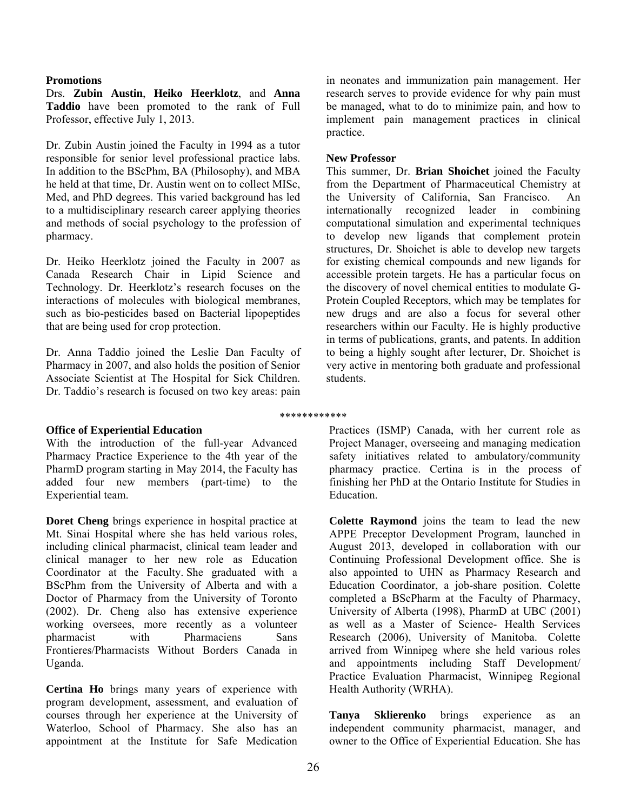#### **Promotions**

Drs. **Zubin Austin**, **Heiko Heerklotz**, and **Anna Taddio** have been promoted to the rank of Full Professor, effective July 1, 2013.

Dr. Zubin Austin joined the Faculty in 1994 as a tutor responsible for senior level professional practice labs. In addition to the BScPhm, BA (Philosophy), and MBA he held at that time, Dr. Austin went on to collect MISc, Med, and PhD degrees. This varied background has led to a multidisciplinary research career applying theories and methods of social psychology to the profession of pharmacy.

Dr. Heiko Heerklotz joined the Faculty in 2007 as Canada Research Chair in Lipid Science and Technology. Dr. Heerklotz's research focuses on the interactions of molecules with biological membranes, such as bio-pesticides based on Bacterial lipopeptides that are being used for crop protection.

Dr. Anna Taddio joined the Leslie Dan Faculty of Pharmacy in 2007, and also holds the position of Senior Associate Scientist at The Hospital for Sick Children. Dr. Taddio's research is focused on two key areas: pain

in neonates and immunization pain management. Her research serves to provide evidence for why pain must be managed, what to do to minimize pain, and how to implement pain management practices in clinical practice.

#### **New Professor**

This summer, Dr. **Brian Shoichet** joined the Faculty from the Department of Pharmaceutical Chemistry at the University of California, San Francisco. An internationally recognized leader in combining computational simulation and experimental techniques to develop new ligands that complement protein structures, Dr. Shoichet is able to develop new targets for existing chemical compounds and new ligands for accessible protein targets. He has a particular focus on the discovery of novel chemical entities to modulate G-Protein Coupled Receptors, which may be templates for new drugs and are also a focus for several other researchers within our Faculty. He is highly productive in terms of publications, grants, and patents. In addition to being a highly sought after lecturer, Dr. Shoichet is very active in mentoring both graduate and professional students.

## **Office of Experiential Education**

With the introduction of the full-year Advanced Pharmacy Practice Experience to the 4th year of the PharmD program starting in May 2014, the Faculty has added four new members (part-time) to the Experiential team.

**Doret Cheng** brings experience in hospital practice at Mt. Sinai Hospital where she has held various roles, including clinical pharmacist, clinical team leader and clinical manager to her new role as Education Coordinator at the Faculty. She graduated with a BScPhm from the University of Alberta and with a Doctor of Pharmacy from the University of Toronto (2002). Dr. Cheng also has extensive experience working oversees, more recently as a volunteer pharmacist with Pharmaciens Sans Frontieres/Pharmacists Without Borders Canada in Uganda.

**Certina Ho** brings many years of experience with program development, assessment, and evaluation of courses through her experience at the University of Waterloo, School of Pharmacy. She also has an appointment at the Institute for Safe Medication

\*\*\*\*\*\*\*\*\*\*\*\*

Practices (ISMP) Canada, with her current role as Project Manager, overseeing and managing medication safety initiatives related to ambulatory/community pharmacy practice. Certina is in the process of finishing her PhD at the Ontario Institute for Studies in Education.

**Colette Raymond** joins the team to lead the new APPE Preceptor Development Program, launched in August 2013, developed in collaboration with our Continuing Professional Development office. She is also appointed to UHN as Pharmacy Research and Education Coordinator, a job-share position. Colette completed a BScPharm at the Faculty of Pharmacy, University of Alberta (1998), PharmD at UBC (2001) as well as a Master of Science- Health Services Research (2006), University of Manitoba. Colette arrived from Winnipeg where she held various roles and appointments including Staff Development/ Practice Evaluation Pharmacist, Winnipeg Regional Health Authority (WRHA).

**Tanya Sklierenko** brings experience as an independent community pharmacist, manager, and owner to the Office of Experiential Education. She has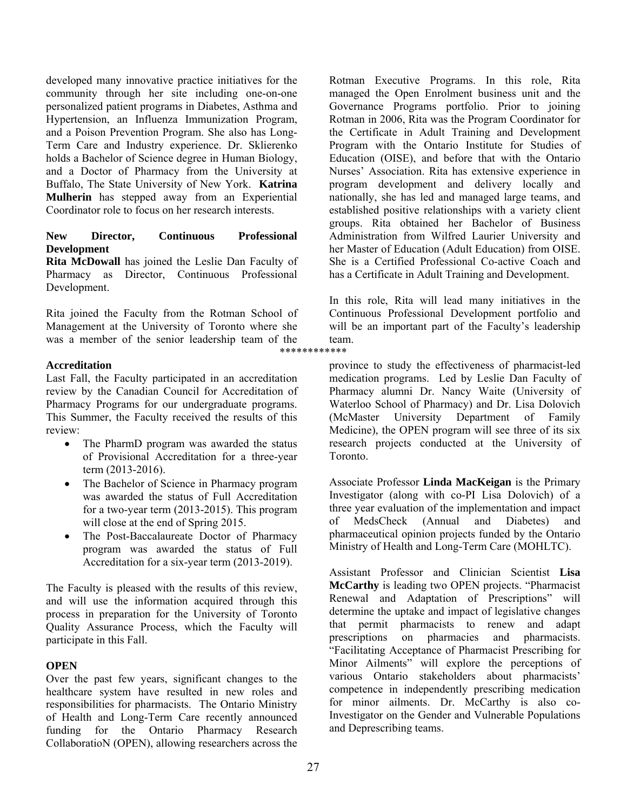developed many innovative practice initiatives for the community through her site including one-on-one personalized patient programs in Diabetes, Asthma and Hypertension, an Influenza Immunization Program, and a Poison Prevention Program. She also has Long-Term Care and Industry experience. Dr. Sklierenko holds a Bachelor of Science degree in Human Biology, and a Doctor of Pharmacy from the University at Buffalo, The State University of New York. **Katrina Mulherin** has stepped away from an Experiential Coordinator role to focus on her research interests.

## **New Director, Continuous Professional Development**

**Rita McDowall** has joined the Leslie Dan Faculty of Pharmacy as Director, Continuous Professional Development.

Rita joined the Faculty from the Rotman School of Management at the University of Toronto where she was a member of the senior leadership team of the

## **Accreditation**

Last Fall, the Faculty participated in an accreditation review by the Canadian Council for Accreditation of Pharmacy Programs for our undergraduate programs. This Summer, the Faculty received the results of this review:

- The PharmD program was awarded the status of Provisional Accreditation for a three-year term (2013-2016).
- The Bachelor of Science in Pharmacy program was awarded the status of Full Accreditation for a two-year term (2013-2015). This program will close at the end of Spring 2015.
- The Post-Baccalaureate Doctor of Pharmacy program was awarded the status of Full Accreditation for a six-year term (2013-2019).

The Faculty is pleased with the results of this review, and will use the information acquired through this process in preparation for the University of Toronto Quality Assurance Process, which the Faculty will participate in this Fall.

## **OPEN**

Over the past few years, significant changes to the healthcare system have resulted in new roles and responsibilities for pharmacists. The Ontario Ministry of Health and Long-Term Care recently announced funding for the Ontario Pharmacy Research CollaboratioN (OPEN), allowing researchers across the

Rotman Executive Programs. In this role, Rita managed the Open Enrolment business unit and the Governance Programs portfolio. Prior to joining Rotman in 2006, Rita was the Program Coordinator for the Certificate in Adult Training and Development Program with the Ontario Institute for Studies of Education (OISE), and before that with the Ontario Nurses' Association. Rita has extensive experience in program development and delivery locally and nationally, she has led and managed large teams, and established positive relationships with a variety client groups. Rita obtained her Bachelor of Business Administration from Wilfred Laurier University and her Master of Education (Adult Education) from OISE. She is a Certified Professional Co-active Coach and has a Certificate in Adult Training and Development.

In this role, Rita will lead many initiatives in the Continuous Professional Development portfolio and will be an important part of the Faculty's leadership team. \*\*\*\*\*\*\*\*\*\*\*\*

> province to study the effectiveness of pharmacist-led medication programs. Led by Leslie Dan Faculty of Pharmacy alumni Dr. Nancy Waite (University of Waterloo School of Pharmacy) and Dr. Lisa Dolovich (McMaster University Department of Family Medicine), the OPEN program will see three of its six research projects conducted at the University of Toronto.

> Associate Professor **Linda MacKeigan** is the Primary Investigator (along with co-PI Lisa Dolovich) of a three year evaluation of the implementation and impact of MedsCheck (Annual and Diabetes) and pharmaceutical opinion projects funded by the Ontario Ministry of Health and Long-Term Care (MOHLTC).

> Assistant Professor and Clinician Scientist **Lisa McCarthy** is leading two OPEN projects. "Pharmacist Renewal and Adaptation of Prescriptions" will determine the uptake and impact of legislative changes that permit pharmacists to renew and adapt prescriptions on pharmacies and pharmacists. "Facilitating Acceptance of Pharmacist Prescribing for Minor Ailments" will explore the perceptions of various Ontario stakeholders about pharmacists' competence in independently prescribing medication for minor ailments. Dr. McCarthy is also co-Investigator on the Gender and Vulnerable Populations and Deprescribing teams.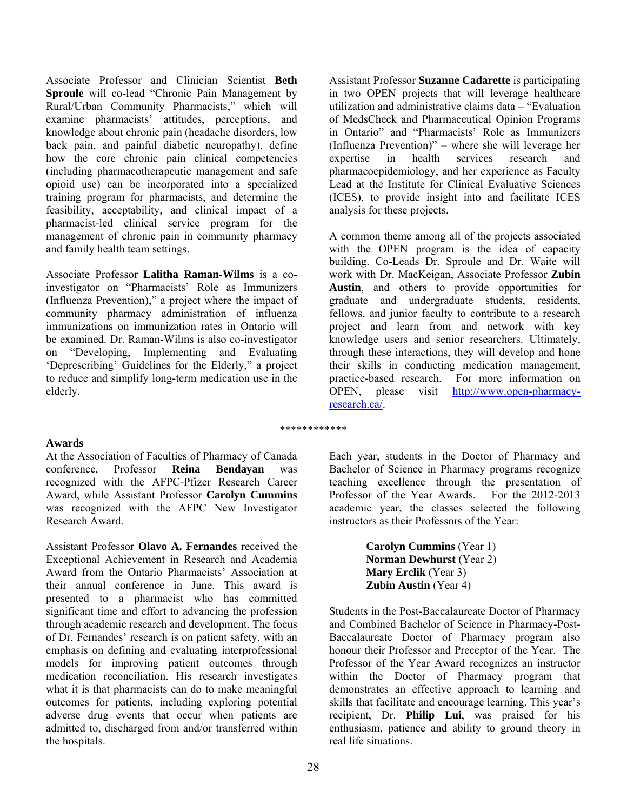Associate Professor and Clinician Scientist **Beth Sproule** will co-lead "Chronic Pain Management by Rural/Urban Community Pharmacists," which will examine pharmacists' attitudes, perceptions, and knowledge about chronic pain (headache disorders, low back pain, and painful diabetic neuropathy), define how the core chronic pain clinical competencies (including pharmacotherapeutic management and safe opioid use) can be incorporated into a specialized training program for pharmacists, and determine the feasibility, acceptability, and clinical impact of a pharmacist-led clinical service program for the management of chronic pain in community pharmacy and family health team settings.

Associate Professor **Lalitha Raman-Wilms** is a coinvestigator on "Pharmacists' Role as Immunizers (Influenza Prevention)," a project where the impact of community pharmacy administration of influenza immunizations on immunization rates in Ontario will be examined. Dr. Raman-Wilms is also co-investigator on "Developing, Implementing and Evaluating 'Deprescribing' Guidelines for the Elderly," a project to reduce and simplify long-term medication use in the elderly.

Assistant Professor **Suzanne Cadarette** is participating in two OPEN projects that will leverage healthcare utilization and administrative claims data – "Evaluation of MedsCheck and Pharmaceutical Opinion Programs in Ontario" and "Pharmacists' Role as Immunizers (Influenza Prevention)" – where she will leverage her expertise in health services research and pharmacoepidemiology, and her experience as Faculty Lead at the Institute for Clinical Evaluative Sciences (ICES), to provide insight into and facilitate ICES analysis for these projects.

A common theme among all of the projects associated with the OPEN program is the idea of capacity building. Co-Leads Dr. Sproule and Dr. Waite will work with Dr. MacKeigan, Associate Professor **Zubin Austin**, and others to provide opportunities for graduate and undergraduate students, residents, fellows, and junior faculty to contribute to a research project and learn from and network with key knowledge users and senior researchers. Ultimately, through these interactions, they will develop and hone their skills in conducting medication management, practice-based research. For more information on OPEN, please visit http://www.open-pharmacyresearch.ca/.

## **Awards**

At the Association of Faculties of Pharmacy of Canada conference, Professor **Reina Bendayan** was recognized with the AFPC-Pfizer Research Career Award, while Assistant Professor **Carolyn Cummins** was recognized with the AFPC New Investigator Research Award.

Assistant Professor **Olavo A. Fernandes** received the Exceptional Achievement in Research and Academia Award from the Ontario Pharmacists' Association at their annual conference in June. This award is presented to a pharmacist who has committed significant time and effort to advancing the profession through academic research and development. The focus of Dr. Fernandes' research is on patient safety, with an emphasis on defining and evaluating interprofessional models for improving patient outcomes through medication reconciliation. His research investigates what it is that pharmacists can do to make meaningful outcomes for patients, including exploring potential adverse drug events that occur when patients are admitted to, discharged from and/or transferred within the hospitals.

\*\*\*\*\*\*\*\*\*\*\*\*

Each year, students in the Doctor of Pharmacy and Bachelor of Science in Pharmacy programs recognize teaching excellence through the presentation of Professor of the Year Awards. For the 2012-2013 academic year, the classes selected the following instructors as their Professors of the Year:

> **Carolyn Cummins** (Year 1) **Norman Dewhurst** (Year 2) **Mary Erclik** (Year 3) **Zubin Austin** (Year 4)

Students in the Post-Baccalaureate Doctor of Pharmacy and Combined Bachelor of Science in Pharmacy-Post-Baccalaureate Doctor of Pharmacy program also honour their Professor and Preceptor of the Year. The Professor of the Year Award recognizes an instructor within the Doctor of Pharmacy program that demonstrates an effective approach to learning and skills that facilitate and encourage learning. This year's recipient, Dr. **Philip Lui**, was praised for his enthusiasm, patience and ability to ground theory in real life situations.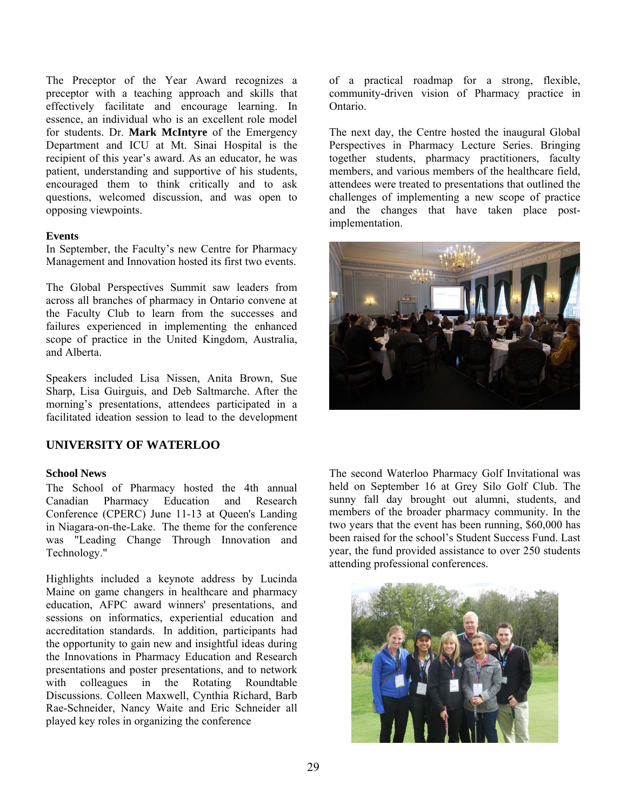The Preceptor of the Year Award recognizes a preceptor with a teaching approach and skills that effectively facilitate and encourage learning. In essence, an individual who is an excellent role model for students. Dr. **Mark McIntyre** of the Emergency Department and ICU at Mt. Sinai Hospital is the recipient of this year's award. As an educator, he was patient, understanding and supportive of his students, encouraged them to think critically and to ask questions, welcomed discussion, and was open to opposing viewpoints.

#### **Events**

In September, the Faculty's new Centre for Pharmacy Management and Innovation hosted its first two events.

The Global Perspectives Summit saw leaders from across all branches of pharmacy in Ontario convene at the Faculty Club to learn from the successes and failures experienced in implementing the enhanced scope of practice in the United Kingdom, Australia, and Alberta.

Speakers included Lisa Nissen, Anita Brown, Sue Sharp, Lisa Guirguis, and Deb Saltmarche. After the morning's presentations, attendees participated in a facilitated ideation session to lead to the development

## **UNIVERSITY OF WATERLOO**

#### **School News**

The School of Pharmacy hosted the 4th annual Canadian Pharmacy Education and Research Conference (CPERC) June 11-13 at Queen's Landing in Niagara-on-the-Lake. The theme for the conference was "Leading Change Through Innovation and Technology."

Highlights included a keynote address by Lucinda Maine on game changers in healthcare and pharmacy education, AFPC award winners' presentations, and sessions on informatics, experiential education and accreditation standards. In addition, participants had the opportunity to gain new and insightful ideas during the Innovations in Pharmacy Education and Research presentations and poster presentations, and to network with colleagues in the Rotating Roundtable Discussions. Colleen Maxwell, Cynthia Richard, Barb Rae-Schneider, Nancy Waite and Eric Schneider all played key roles in organizing the conference

of a practical roadmap for a strong, flexible, community-driven vision of Pharmacy practice in Ontario.

The next day, the Centre hosted the inaugural Global Perspectives in Pharmacy Lecture Series. Bringing together students, pharmacy practitioners, faculty members, and various members of the healthcare field, attendees were treated to presentations that outlined the challenges of implementing a new scope of practice and the changes that have taken place postimplementation.



The second Waterloo Pharmacy Golf Invitational was held on September 16 at Grey Silo Golf Club. The sunny fall day brought out alumni, students, and members of the broader pharmacy community. In the two years that the event has been running, \$60,000 has been raised for the school's Student Success Fund. Last year, the fund provided assistance to over 250 students attending professional conferences.

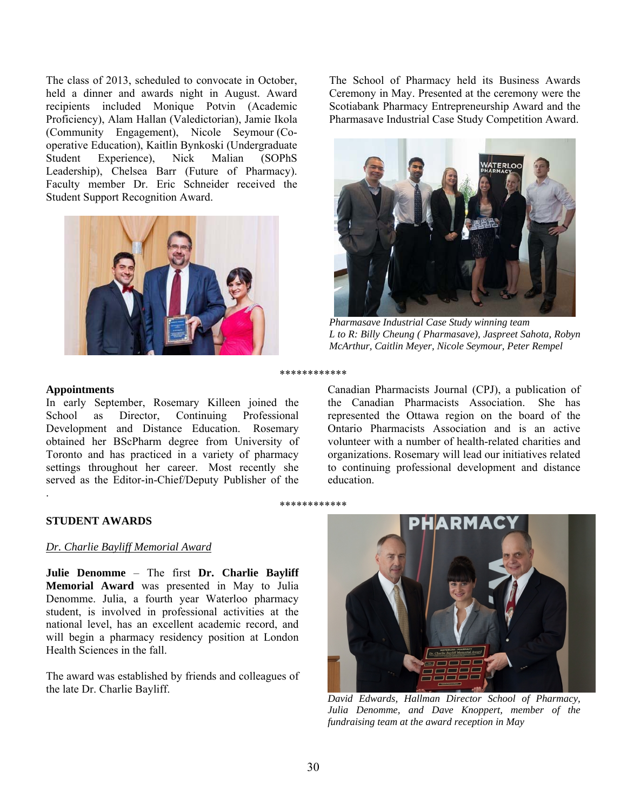The class of 2013, scheduled to convocate in October, held a dinner and awards night in August. Award recipients included Monique Potvin (Academic Proficiency), Alam Hallan (Valedictorian), Jamie Ikola (Community Engagement), Nicole Seymour (Cooperative Education), Kaitlin Bynkoski (Undergraduate Student Experience), Nick Malian (SOPhS Leadership), Chelsea Barr (Future of Pharmacy). Faculty member Dr. Eric Schneider received the Student Support Recognition Award.



#### **Appointments**

.

In early September, Rosemary Killeen joined the School as Director, Continuing Professional Development and Distance Education. Rosemary obtained her BScPharm degree from University of Toronto and has practiced in a variety of pharmacy settings throughout her career. Most recently she served as the Editor-in-Chief/Deputy Publisher of the

The School of Pharmacy held its Business Awards Ceremony in May. Presented at the ceremony were the Scotiabank Pharmacy Entrepreneurship Award and the Pharmasave Industrial Case Study Competition Award.



*Pharmasave Industrial Case Study winning team L to R: Billy Cheung ( Pharmasave), Jaspreet Sahota, Robyn McArthur, Caitlin Meyer, Nicole Seymour, Peter Rempel* 

\*\*\*\*\*\*\*\*\*\*\*\*

Canadian Pharmacists Journal (CPJ), a publication of the Canadian Pharmacists Association. She has represented the Ottawa region on the board of the Ontario Pharmacists Association and is an active volunteer with a number of health-related charities and organizations. Rosemary will lead our initiatives related to continuing professional development and distance education.

#### \*\*\*\*\*\*\*\*\*\*\*\*

#### **STUDENT AWARDS**

#### *Dr. Charlie Bayliff Memorial Award*

**Julie Denomme** – The first **Dr. Charlie Bayliff Memorial Award** was presented in May to Julia Denomme. Julia, a fourth year Waterloo pharmacy student, is involved in professional activities at the national level, has an excellent academic record, and will begin a pharmacy residency position at London Health Sciences in the fall.

The award was established by friends and colleagues of



*Julia Denomme, and Dave Knoppert, member of the fundraising team at the award reception in May*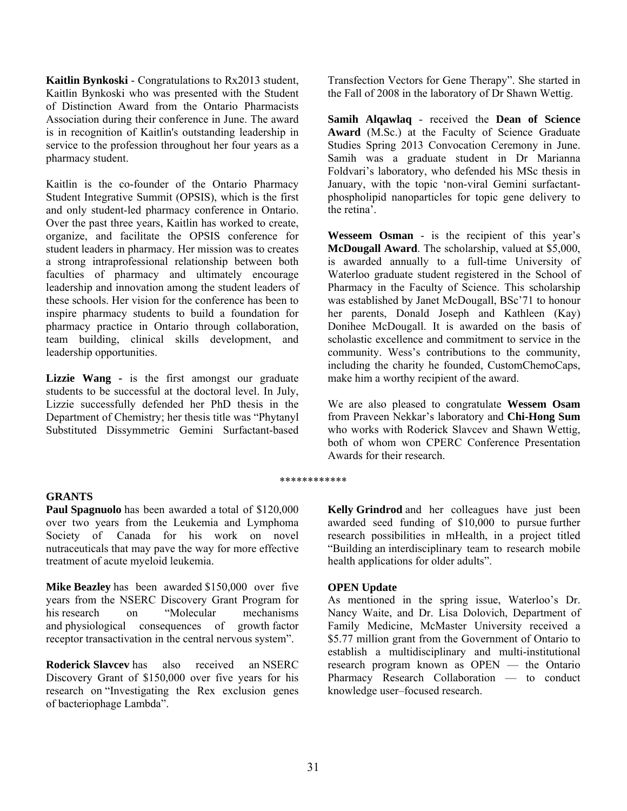**Kaitlin Bynkoski** - Congratulations to Rx2013 student, Kaitlin Bynkoski who was presented with the Student of Distinction Award from the Ontario Pharmacists Association during their conference in June. The award is in recognition of Kaitlin's outstanding leadership in service to the profession throughout her four years as a pharmacy student.

Kaitlin is the co-founder of the Ontario Pharmacy Student Integrative Summit (OPSIS), which is the first and only student-led pharmacy conference in Ontario. Over the past three years, Kaitlin has worked to create, organize, and facilitate the OPSIS conference for student leaders in pharmacy. Her mission was to creates a strong intraprofessional relationship between both faculties of pharmacy and ultimately encourage leadership and innovation among the student leaders of these schools. Her vision for the conference has been to inspire pharmacy students to build a foundation for pharmacy practice in Ontario through collaboration, team building, clinical skills development, and leadership opportunities.

Lizzie Wang - is the first amongst our graduate students to be successful at the doctoral level. In July, Lizzie successfully defended her PhD thesis in the Department of Chemistry; her thesis title was "Phytanyl Substituted Dissymmetric Gemini Surfactant-based

**GRANTS** 

**Paul Spagnuolo** has been awarded a total of \$120,000 over two years from the Leukemia and Lymphoma Society of Canada for his work on novel nutraceuticals that may pave the way for more effective treatment of acute myeloid leukemia.

**Mike Beazley** has been awarded \$150,000 over five years from the NSERC Discovery Grant Program for his research on "Molecular mechanisms and physiological consequences of growth factor receptor transactivation in the central nervous system".

**Roderick Slavcev** has also received an NSERC Discovery Grant of \$150,000 over five years for his research on "Investigating the Rex exclusion genes of bacteriophage Lambda".

Transfection Vectors for Gene Therapy". She started in the Fall of 2008 in the laboratory of Dr Shawn Wettig.

**Samih Alqawlaq** - received the **Dean of Science Award** (M.Sc.) at the Faculty of Science Graduate Studies Spring 2013 Convocation Ceremony in June. Samih was a graduate student in Dr Marianna Foldvari's laboratory, who defended his MSc thesis in January, with the topic 'non-viral Gemini surfactantphospholipid nanoparticles for topic gene delivery to the retina'.

**Wesseem Osman** - is the recipient of this year's **McDougall Award**. The scholarship, valued at \$5,000, is awarded annually to a full-time University of Waterloo graduate student registered in the School of Pharmacy in the Faculty of Science. This scholarship was established by Janet McDougall, BSc'71 to honour her parents, Donald Joseph and Kathleen (Kay) Donihee McDougall. It is awarded on the basis of scholastic excellence and commitment to service in the community. Wess's contributions to the community, including the charity he founded, CustomChemoCaps, make him a worthy recipient of the award.

We are also pleased to congratulate **Wessem Osam** from Praveen Nekkar's laboratory and **Chi-Hong Sum** who works with Roderick Slavcev and Shawn Wettig, both of whom won CPERC Conference Presentation Awards for their research.

#### \*\*\*\*\*\*\*\*\*\*\*\*

**Kelly Grindrod** and her colleagues have just been awarded seed funding of \$10,000 to pursue further research possibilities in mHealth, in a project titled "Building an interdisciplinary team to research mobile health applications for older adults".

#### **OPEN Update**

As mentioned in the spring issue, Waterloo's Dr. Nancy Waite, and Dr. Lisa Dolovich, Department of Family Medicine, McMaster University received a \$5.77 million grant from the Government of Ontario to establish a multidisciplinary and multi-institutional research program known as OPEN — the Ontario Pharmacy Research Collaboration — to conduct knowledge user–focused research.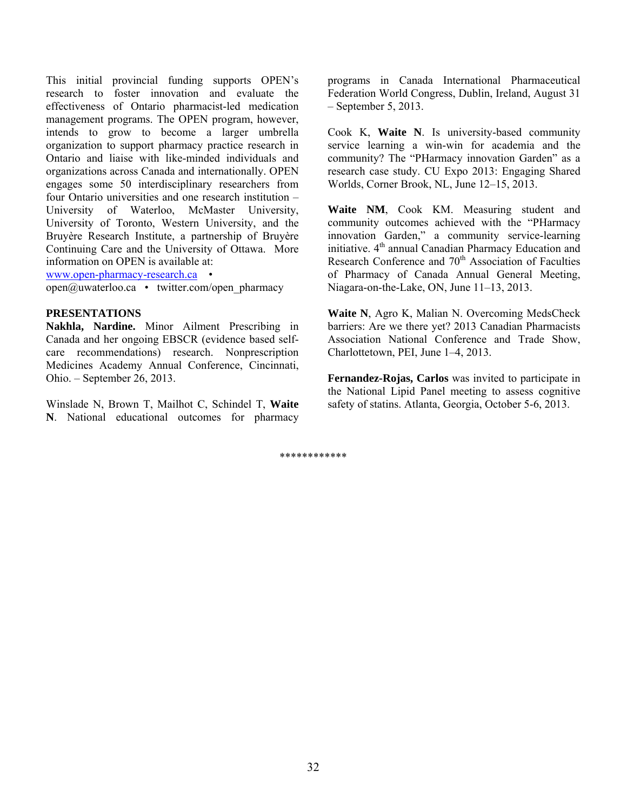This initial provincial funding supports OPEN's research to foster innovation and evaluate the effectiveness of Ontario pharmacist-led medication management programs. The OPEN program, however, intends to grow to become a larger umbrella organization to support pharmacy practice research in Ontario and liaise with like-minded individuals and organizations across Canada and internationally. OPEN engages some 50 interdisciplinary researchers from four Ontario universities and one research institution – University of Waterloo, McMaster University, University of Toronto, Western University, and the Bruyère Research Institute, a partnership of Bruyère Continuing Care and the University of Ottawa. More information on OPEN is available at:

www.open-pharmacy-research.ca •

open@uwaterloo.ca • twitter.com/open\_pharmacy

#### **PRESENTATIONS**

**Nakhla, Nardine.** Minor Ailment Prescribing in Canada and her ongoing EBSCR (evidence based selfcare recommendations) research. Nonprescription Medicines Academy Annual Conference, Cincinnati, Ohio. – September 26, 2013.

Winslade N, Brown T, Mailhot C, Schindel T, **Waite N**. National educational outcomes for pharmacy

programs in Canada International Pharmaceutical Federation World Congress, Dublin, Ireland, August 31 – September 5, 2013.

Cook K, **Waite N**. Is university-based community service learning a win-win for academia and the community? The "PHarmacy innovation Garden" as a research case study. CU Expo 2013: Engaging Shared Worlds, Corner Brook, NL, June 12–15, 2013.

**Waite NM**, Cook KM. Measuring student and community outcomes achieved with the "PHarmacy innovation Garden," a community service-learning initiative. 4<sup>th</sup> annual Canadian Pharmacy Education and Research Conference and 70<sup>th</sup> Association of Faculties of Pharmacy of Canada Annual General Meeting, Niagara-on-the-Lake, ON, June 11–13, 2013.

**Waite N**, Agro K, Malian N. Overcoming MedsCheck barriers: Are we there yet? 2013 Canadian Pharmacists Association National Conference and Trade Show, Charlottetown, PEI, June 1–4, 2013.

**Fernandez-Rojas, Carlos** was invited to participate in the National Lipid Panel meeting to assess cognitive safety of statins. Atlanta, Georgia, October 5-6, 2013.

\*\*\*\*\*\*\*\*\*\*\*\*